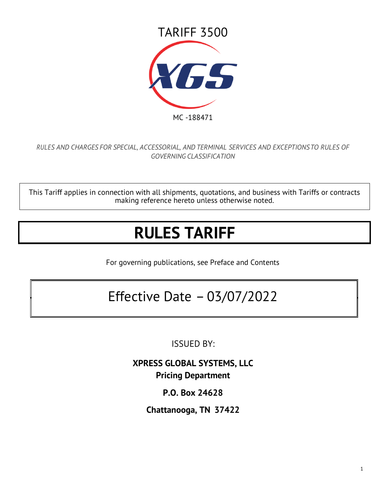

## *RULES AND CHARGES FOR SPECIAL, ACCESSORIAL, AND TERMINAL SERVICES AND EXCEPTIONSTO RULES OF GOVERNING CLASSIFICATION*

This Tariff applies in connection with all shipments, quotations, and business with Tariffs or contracts making reference hereto unless otherwise noted.

# **RULES TARIFF**

For governing publications, see Preface and Contents

# Effective Date –03/07/2022

ISSUED BY:

**XPRESS GLOBAL SYSTEMS, LLC Pricing Department**

**P.O. Box 24628**

**Chattanooga, TN 37422**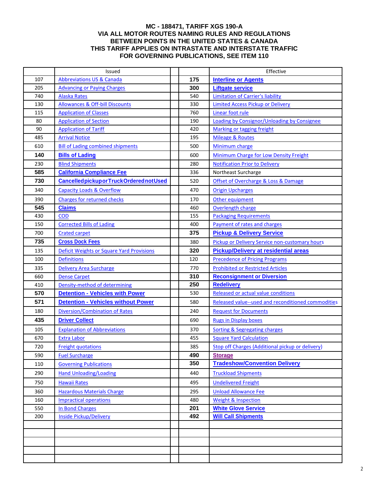### **MC - 188471, TARIFF XGS 190-A VIA ALL MOTOR ROUTES NAMING RULES AND REGULATIONS BETWEEN POINTS IN THE UNITED STATES & CANADA THIS TARIFF APPLIES ON INTRASTATE AND INTERSTATE TRAFFIC FOR GOVERNING PUBLICATIONS, SEE ITEM 110**

|     | Issued                                           |     | Effective                                               |
|-----|--------------------------------------------------|-----|---------------------------------------------------------|
| 107 | <b>Abbreviations US &amp; Canada</b>             | 175 | <b>Interline or Agents</b>                              |
| 205 | <b>Advancing or Paying Charges</b>               | 300 | <b>Liftgate service</b>                                 |
| 740 | <b>Alaska Rates</b>                              | 540 | <b>Limitation of Carrier's liability</b>                |
| 130 | <b>Allowances &amp; Off-bill Discounts</b>       | 330 | <b>Limited Access Pickup or Delivery</b>                |
| 115 | <b>Application of Classes</b>                    | 760 | Linear foot rule                                        |
| 80  | <b>Application of Section</b>                    | 190 | <b>Loading by Consignor/Unloading by Consignee</b>      |
| 90  | <b>Application of Tariff</b>                     | 420 | <b>Marking or tagging freight</b>                       |
| 485 | <b>Arrival Notice</b>                            | 195 | <b>Mileage &amp; Routes</b>                             |
| 610 | <b>Bill of Lading combined shipments</b>         | 500 | <b>Minimum charge</b>                                   |
| 140 | <b>Bills of Lading</b>                           | 600 | <b>Minimum Charge for Low Density Freight</b>           |
| 230 | <b>Blind Shipments</b>                           | 280 | <b>Notification Prior to Delivery</b>                   |
| 585 | <b>California Compliance Fee</b>                 | 336 | Northeast Surcharge                                     |
| 730 | CancelledpickuporTruckOrderednotUsed             | 520 | Offset of Overcharge & Loss & Damage                    |
| 340 | <b>Capacity Loads &amp; Overflow</b>             | 470 | <b>Origin Upcharges</b>                                 |
| 390 | <b>Charges for returned checks</b>               | 170 | Other equipment                                         |
| 545 | <b>Claims</b>                                    | 460 | Overlength charge                                       |
| 430 | <b>COD</b>                                       | 155 | <b>Packaging Requirements</b>                           |
| 150 | <b>Corrected Bills of Lading</b>                 | 400 | Payment of rates and charges                            |
| 700 | <b>Crated carpet</b>                             | 375 | <b>Pickup &amp; Delivery Service</b>                    |
| 735 | <b>Cross Dock Fees</b>                           | 380 | <b>Pickup or Delivery Service non-customary hours</b>   |
| 135 | <b>Deficit Weights or Square Yard Provisions</b> | 320 | <b>Pickup/Delivery at residential areas</b>             |
| 100 | <b>Definitions</b>                               | 120 | <b>Precedence of Pricing Programs</b>                   |
| 335 | <b>Delivery Area Surcharge</b>                   | 770 | <b>Prohibited or Restricted Articles</b>                |
| 660 | <b>Dense Carpet</b>                              | 310 | <b>Reconsignment or Diversion</b>                       |
| 410 | Density-method of determining                    | 250 | <b>Redelivery</b>                                       |
| 570 | <b>Detention - Vehicles with Power</b>           | 530 | Released or actual value conditions                     |
| 571 | <b>Detention - Vehicles without Power</b>        | 580 | Released value--used and reconditioned commodities      |
| 180 | Diversion/Combination of Rates                   | 240 | <b>Request for Documents</b>                            |
| 435 | <b>Driver Collect</b>                            | 690 | <b>Rugs in Display boxes</b>                            |
| 105 | <b>Explanation of Abbreviations</b>              | 370 | <b>Sorting &amp; Segregating charges</b>                |
| 670 | <b>Extra Labor</b>                               | 455 | <b>Square Yard Calculation</b>                          |
| 720 | <b>Freight quotations</b>                        | 385 | <b>Stop off Charges (Additional pickup or delivery)</b> |
| 590 | <b>Fuel Surcharge</b>                            | 490 | <b>Storage</b>                                          |
| 110 | <b>Governing Publications</b>                    | 350 | <b>Tradeshow/Convention Delivery</b>                    |
| 290 | <b>Hand Unloading/Loading</b>                    | 440 | <b>Truckload Shipments</b>                              |
| 750 | <b>Hawaii Rates</b>                              | 495 | <b>Undelivered Freight</b>                              |
| 360 | <b>Hazardous Materials Charge</b>                | 295 | <b>Unload Allowance Fee</b>                             |
| 160 | <b>Impractical operations</b>                    | 480 | <b>Weight &amp; Inspection</b>                          |
| 550 | <b>In Bond Charges</b>                           | 201 | <b>White Glove Service</b>                              |
| 200 | <b>Inside Pickup/Delivery</b>                    | 492 | <b>Will Call Shipments</b>                              |
|     |                                                  |     |                                                         |
|     |                                                  |     |                                                         |
|     |                                                  |     |                                                         |
|     |                                                  |     |                                                         |
|     |                                                  |     |                                                         |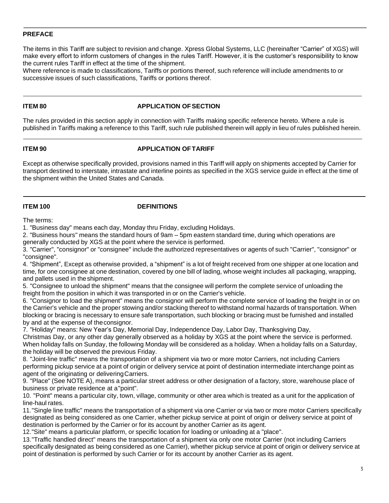### **PREFACE**

The items in this Tariff are subject to revision and change. Xpress Global Systems, LLC (hereinafter "Carrier" of XGS) will make every effort to inform customers of changes in the rules Tariff. However, it is the customer's responsibility to know the current rules Tariff in effect at the time of the shipment.

Where reference is made to classifications, Tariffs or portions thereof, such reference will include amendments to or successive issues of such classifications, Tariffs or portions thereof.

### <span id="page-2-0"></span>**ITEM 80 APPLICATION OF SECTION**

The rules provided in this section apply in connection with Tariffs making specific reference hereto. Where a rule is published in Tariffs making a reference to this Tariff, such rule published therein will apply in lieu of rules published herein.

### <span id="page-2-1"></span>**ITEM 90 APPLICATION OFTARIFF**

Except as otherwise specifically provided, provisions named in this Tariff will apply on shipments accepted by Carrier for transport destined to interstate, intrastate and interline points as specified in the XGS service guide in effect at the time of the shipment within the United States and Canada.

### <span id="page-2-2"></span>**ITEM 100 DEFINITIONS**

The terms:

1. "Business day" means each day, Monday thru Friday, excluding Holidays.

2. "Business hours" means the standard hours of 9am – 5pm eastern standard time, during which operations are generally conducted by XGS at the point where the service is performed.

3. "Carrier", "consignor" or "consignee" include the authorized representatives or agents of such "Carrier", "consignor" or "consignee".

4. "Shipment", Except as otherwise provided, a "shipment" is a lot of freight received from one shipper at one location and time, for one consignee at one destination, covered by one bill of lading, whose weight includes all packaging, wrapping, and pallets used in theshipment.

5. "Consignee to unload the shipment" means that the consignee will perform the complete service of unloading the freight from the position in which it was transported in or on the Carrier's vehicle.

6. "Consignor to load the shipment" means the consignor will perform the complete service of loading the freight in or on the Carrier's vehicle and the proper stowing and/or stacking thereof to withstand normal hazards of transportation. When blocking or bracing is necessary to ensure safe transportation, such blocking or bracing must be furnished and installed by and at the expense of theconsignor.

7. "Holiday" means: New Year's Day, Memorial Day, Independence Day, Labor Day, Thanksgiving Day,

Christmas Day, or any other day generally observed as a holiday by XGS at the point where the service is performed. When holiday falls on Sunday, the following Monday will be considered as a holiday. When a holiday falls on a Saturday, the holiday will be observed the previous Friday.

8. "Joint-line traffic" means the transportation of a shipment via two or more motor Carriers, not including Carriers performing pickup service at a point of origin or delivery service at point of destination intermediate interchange point as agent of the originating or deliveringCarriers.

9. "Place" (See NOTE A), means a particular street address or other designation of a factory, store, warehouse place of business or private residence at a"point".

10. "Point" means a particular city, town, village, community or other area which is treated as a unit for the application of line-haul rates.

11."Single line traffic" means the transportation of a shipment via one Carrier or via two or more motor Carriers specifically designated as being considered as one Carrier, whether pickup service at point of origin or delivery service at point of destination is performed by the Carrier or for its account by another Carrier as its agent.

12."Site" means a particular platform, or specific location for loading or unloading at a "place".

13."Traffic handled direct" means the transportation of a shipment via only one motor Carrier (not including Carriers specifically designated as being considered as one Carrier), whether pickup service at point of origin or delivery service at point of destination is performed by such Carrier or for its account by another Carrier as its agent.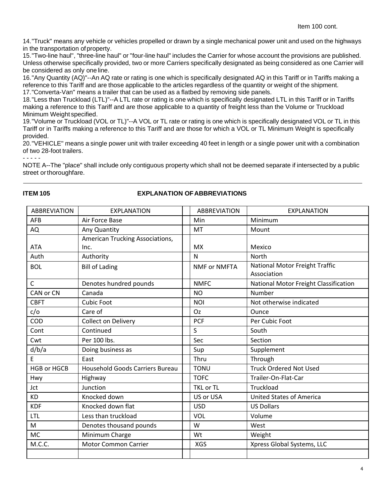14."Truck" means any vehicle or vehicles propelled or drawn by a single mechanical power unit and used on the highways in the transportation of property.

15."Two-line haul", "three-line haul" or "four-line haul" includes the Carrier for whose account the provisions are published. Unless otherwise specifically provided, two or more Carriers specifically designated as being considered as one Carrier will be considered as only one line.

16."Any Quantity (AQ)"--An AQ rate or rating is one which is specifically designated AQ in this Tariff or in Tariffs making a reference to this Tariff and are those applicable to the articles regardless of the quantity or weight of the shipment. 17."Converta-Van" means a trailer that can be used as a flatbed by removing side panels.

18."Less than Truckload (LTL)"--A LTL rate or rating is one which is specifically designated LTL in this Tariff or in Tariffs making a reference to this Tariff and are those applicable to a quantity of freight less than the Volume or Truckload Minimum Weight specified.

19."Volume or Truckload (VOL or TL)"--A VOL or TL rate or rating is one which is specifically designated VOL or TL in this Tariff or in Tariffs making a reference to this Tariff and are those for which a VOL or TL Minimum Weight is specifically provided.

20."VEHICLE" means a single power unit with trailer exceeding 40 feet in length or a single power unit with a combination of two 28-foot trailers.

### - - - - -

NOTE A--The "place" shall include only contiguous property which shall not be deemed separate if intersected by a public street or thoroughfare.

### <span id="page-3-0"></span>**ITEM 105 EXPLANATION OFABBREVIATIONS**

| <b>ABBREVIATION</b> | <b>EXPLANATION</b>              | <b>ABBREVIATION</b> | <b>EXPLANATION</b>                    |
|---------------------|---------------------------------|---------------------|---------------------------------------|
| AFB                 | Air Force Base                  | Min                 | Minimum                               |
| AQ                  | Any Quantity                    | MT                  | Mount                                 |
|                     | American Trucking Associations, |                     |                                       |
| <b>ATA</b>          | Inc.                            | <b>MX</b>           | Mexico                                |
| Auth                | Authority                       | N                   | North                                 |
| <b>BOL</b>          | <b>Bill of Lading</b>           | <b>NMF or NMFTA</b> | <b>National Motor Freight Traffic</b> |
|                     |                                 |                     | Association                           |
| $\mathsf{C}$        | Denotes hundred pounds          | <b>NMFC</b>         | National Motor Freight Classification |
| CAN or CN           | Canada                          | <b>NO</b>           | Number                                |
| <b>CBFT</b>         | <b>Cubic Foot</b>               | <b>NOI</b>          | Not otherwise indicated               |
| c/o                 | Care of                         | Oz                  | Ounce                                 |
| COD                 | Collect on Delivery             | <b>PCF</b>          | Per Cubic Foot                        |
| Cont                | Continued                       | S.                  | South                                 |
| Cwt                 | Per 100 lbs.                    | Sec                 | Section                               |
| d/b/a               | Doing business as               | Sup                 | Supplement                            |
| E                   | East                            | Thru                | Through                               |
| <b>HGB or HGCB</b>  | Household Goods Carriers Bureau | <b>TONU</b>         | <b>Truck Ordered Not Used</b>         |
| Hwy                 | Highway                         | <b>TOFC</b>         | Trailer-On-Flat-Car                   |
| Jct                 | Junction                        | <b>TKL or TL</b>    | Truckload                             |
| <b>KD</b>           | Knocked down                    | US or USA           | <b>United States of America</b>       |
| <b>KDF</b>          | Knocked down flat               | <b>USD</b>          | <b>US Dollars</b>                     |
| <b>LTL</b>          | Less than truckload             | <b>VOL</b>          | Volume                                |
| M                   | Denotes thousand pounds         | W                   | West                                  |
| <b>MC</b>           | Minimum Charge                  | Wt                  | Weight                                |
| M.C.C.              | <b>Motor Common Carrier</b>     | <b>XGS</b>          | Xpress Global Systems, LLC            |
|                     |                                 |                     |                                       |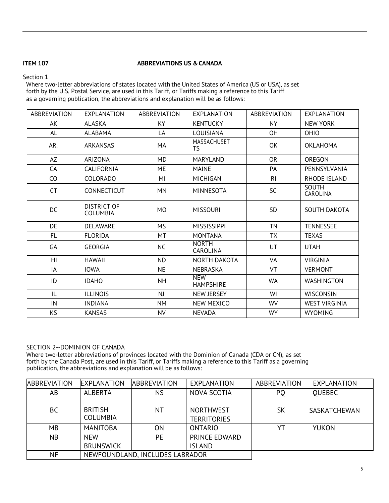### <span id="page-4-0"></span>**ITEM 107 ABBREVIATIONS US & CANADA**

Section 1

Where two-letter abbreviations of states located with the United States of America (US or USA), as set forth by the U.S. Postal Service, are used in this Tariff, or Tariffs making a reference to this Tariff as a governing publication, the abbreviations and explanation will be as follows:

| <b>ABBREVIATION</b> | <b>EXPLANATION</b>             | <b>ABBREVIATION</b> | <b>EXPLANATION</b>             | <b>ABBREVIATION</b> | EXPLANATION              |
|---------------------|--------------------------------|---------------------|--------------------------------|---------------------|--------------------------|
| AK                  | <b>ALASKA</b>                  | KY                  | <b>KENTUCKY</b>                | <b>NY</b>           | <b>NEW YORK</b>          |
| <b>AL</b>           | ALABAMA                        | LA                  | LOUISIANA                      | OH                  | <b>OHIO</b>              |
| AR.                 | <b>ARKANSAS</b>                | MA                  | MASSACHUSET<br>TS              | OK                  | <b>OKLAHOMA</b>          |
| AZ                  | <b>ARIZONA</b>                 | <b>MD</b>           | MARYLAND                       | <b>OR</b>           | <b>OREGON</b>            |
| CA                  | <b>CALIFORNIA</b>              | ME                  | <b>MAINE</b>                   | PA                  | PENNSYLVANIA             |
| CO                  | COLORADO                       | MI                  | <b>MICHIGAN</b>                | R <sub>l</sub>      | RHODE ISLAND             |
| <b>CT</b>           | CONNECTICUT                    | <b>MN</b>           | <b>MINNESOTA</b>               | SC                  | <b>SOUTH</b><br>CAROLINA |
| DC                  | DISTRICT OF<br><b>COLUMBIA</b> | M <sub>O</sub>      | <b>MISSOURI</b>                | <b>SD</b>           | SOUTH DAKOTA             |
| DE                  | DELAWARE                       | <b>MS</b>           | <b>MISSISSIPPI</b>             | <b>TN</b>           | <b>TENNESSEE</b>         |
| FL.                 | <b>FLORIDA</b>                 | <b>MT</b>           | <b>MONTANA</b>                 | <b>TX</b>           | <b>TEXAS</b>             |
| GA                  | GEORGIA                        | <b>NC</b>           | <b>NORTH</b><br>CAROLINA       | UT                  | <b>UTAH</b>              |
| HI                  | <b>HAWAII</b>                  | <b>ND</b>           | NORTH DAKOTA                   | VA                  | <b>VIRGINIA</b>          |
| IA                  | <b>IOWA</b>                    | <b>NE</b>           | <b>NEBRASKA</b>                | VT                  | <b>VERMONT</b>           |
| ID                  | <b>IDAHO</b>                   | <b>NH</b>           | <b>NEW</b><br><b>HAMPSHIRE</b> | WA                  | <b>WASHINGTON</b>        |
| IL                  | <b>ILLINOIS</b>                | N                   | NEW JERSEY                     | WI                  | <b>WISCONSIN</b>         |
| IN                  | <b>INDIANA</b>                 | <b>NM</b>           | NEW MEXICO                     | <b>WV</b>           | <b>WEST VIRGINIA</b>     |
| KS                  | <b>KANSAS</b>                  | <b>NV</b>           | <b>NEVADA</b>                  | <b>WY</b>           | <b>WYOMING</b>           |

### SECTION 2--DOMINION OF CANADA

Where two-letter abbreviations of provinces located with the Dominion of Canada (CDA or CN), as set forth by the Canada Post, are used in this Tariff, or Tariffs making a reference to this Tariff as a governing publication, the abbreviations and explanation will be as follows:

| <b>ABBREVIATION</b> | <b>EXPLANATION</b>                | <b>ABBREVIATION</b> | EXPLANATION                            | ABBREVIATION | EXPLANATION         |
|---------------------|-----------------------------------|---------------------|----------------------------------------|--------------|---------------------|
| AB                  | <b>ALBERTA</b>                    | NS.                 | NOVA SCOTIA                            | PQ           | <b>OUEBEC</b>       |
| BC                  | <b>BRITISH</b><br><b>COLUMBIA</b> | ΝT                  | <b>NORTHWEST</b><br><b>TERRITORIES</b> | <b>SK</b>    | <b>SASKATCHEWAN</b> |
| МB                  | <b>MANITOBA</b>                   | <b>ON</b>           | <b>ONTARIO</b>                         | YT           | <b>YUKON</b>        |
| N <sub>B</sub>      | <b>NFW</b>                        | PF.                 | PRINCE EDWARD                          |              |                     |
|                     | <b>BRUNSWICK</b>                  |                     | <b>ISLAND</b>                          |              |                     |
| NF                  | NEWFOUNDLAND, INCLUDES LABRADOR   |                     |                                        |              |                     |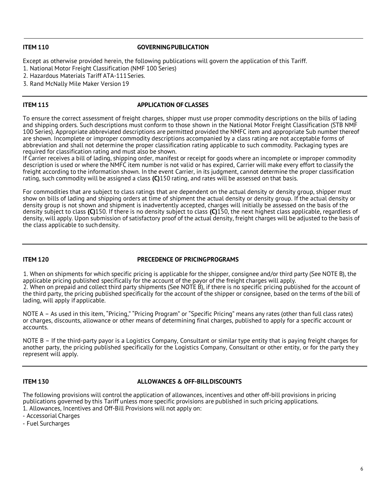### <span id="page-5-3"></span>**ITEM 110 GOVERNINGPUBLICATION**

Except as otherwise provided herein, the following publications will govern the application of this Tariff.

- 1. National Motor Freight Classification (NMF 100 Series)
- 2. Hazardous Materials Tariff ATA-111Series.
- 3. Rand McNally Mile Maker Version 19

### <span id="page-5-1"></span>**ITEM 115 APPLICATION OF CLASSES**

To ensure the correct assessment of freight charges, shipper must use proper commodity descriptions on the bills of lading and shipping orders. Such descriptions must conform to those shown in the National Motor Freight Classification (STB NMF 100 Series). Appropriate abbreviated descriptions are permitted provided the NMFC item and appropriate Sub number thereof are shown. Incomplete or improper commodity descriptions accompanied by a class rating are not acceptable forms of abbreviation and shall not determine the proper classification rating applicable to such commodity. Packaging types are required for classification rating and must also be shown.

If Carrier receives a bill of lading, shipping order, manifest or receipt for goods where an incomplete or improper commodity description is used or where the NMFC item number is not valid or has expired, Carrier will make every effort to classify the freight according to the information shown. In the event Carrier, in its judgment, cannot determine the proper classification rating, such commodity will be assigned a class **(C)**150 rating, and rates will be assessed on that basis.

For commodities that are subject to class ratings that are dependent on the actual density or density group, shipper must show on bills of lading and shipping orders at time of shipment the actual density or density group. If the actual density or density group is not shown and shipment is inadvertently accepted, charges will initially be assessed on the basis of the density subject to class **(C)**150. If there is no density subject to class **(C)**150, the next highest class applicable, regardless of density, will apply. Upon submission of satisfactory proof of the actual density, freight charges will be adjusted to the basis of the class applicable to suchdensity.

### <span id="page-5-2"></span>**ITEM 120 PRECEDENCE OF PRICINGPROGRAMS**

1. When on shipments for which specific pricing is applicable for the shipper, consignee and/or third party (See NOTE B), the applicable pricing published specifically for the account of the payor of the freight charges will apply. 2. When on prepaid and collect third party shipments (See NOTE B), if there is no specific pricing published for the account of the third party, the pricing published specifically for the account of the shipper or consignee, based on the terms of the bill of lading, will apply if applicable.

NOTE A – As used in this item, "Pricing," "Pricing Program" or "Specific Pricing" means any rates (other than full class rates) or charges, discounts, allowance or other means of determining final charges, published to apply for a specific account or accounts.

NOTE B – If the third-party payor is a Logistics Company, Consultant or similar type entity that is paying freight charges for another party, the pricing published specifically for the Logistics Company, Consultant or other entity, or for the party they represent will apply.

### <span id="page-5-0"></span>**ITEM 130 ALLOWANCES & OFF-BILLDISCOUNTS**

The following provisions will control the application of allowances, incentives and other off-bill provisions in pricing publications governed by this Tariff unless more specific provisions are published in such pricing applications. 1. Allowances, Incentives and Off-Bill Provisions will not apply on:

- Accessorial Charges

- Fuel Surcharges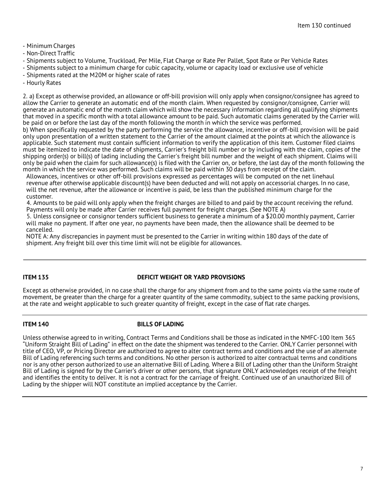- Minimum Charges
- Non-Direct Traffic
- Shipments subject to Volume, Truckload, Per Mile, Flat Charge or Rate Per Pallet, Spot Rate or Per Vehicle Rates
- Shipments subject to a minimum charge for cubic capacity, volume or capacity load or exclusive use of vehicle
- Shipments rated at the M20M or higher scale of rates
- Hourly Rates

2. a) Except as otherwise provided, an allowance or off-bill provision will only apply when consignor/consignee has agreed to allow the Carrier to generate an automatic end of the month claim. When requested by consignor/consignee, Carrier will generate an automatic end of the month claim which will show the necessary information regarding all qualifying shipments that moved in a specific month with a total allowance amount to be paid. Such automatic claims generated by the Carrier will be paid on or before the last day of the month following the month in which the service was performed.

b) When specifically requested by the party performing the service the allowance, incentive or off-bill provision will be paid only upon presentation of a written statement to the Carrier of the amount claimed at the points at which the allowance is applicable. Such statement must contain sufficient information to verify the application of this item. Customer filed claims must be itemized to indicate the date of shipments, Carrier's freight bill number or by including with the claim, copies of the shipping order(s) or bill(s) of lading including the Carrier's freight bill number and the weight of each shipment. Claims will only be paid when the claim for such allowance(s) is filed with the Carrier on, or before, the last day of the month following the month in which the service was performed. Such claims will be paid within 30 days from receipt of the claim.

Allowances, incentives or other off-bill provisions expressed as percentages will be computed on the net linehaul revenue after otherwise applicable discount(s) have been deducted and will not apply on accessorial charges. In no case, will the net revenue, after the allowance or incentive is paid, be less than the published minimum charge for the customer.

4. Amounts to be paid will only apply when the freight charges are billed to and paid by the account receiving the refund. Payments will only be made after Carrier receives full payment for freight charges. (See NOTE A)

5. Unless consignee or consignor tenders sufficient business to generate a minimum of a \$20.00 monthly payment, Carrier will make no payment. If after one year, no payments have been made, then the allowance shall be deemed to be cancelled.

NOTE A: Any discrepancies in payment must be presented to the Carrier in writing within 180 days of the date of shipment. Any freight bill over this time limit will not be eligible for allowances.

### <span id="page-6-1"></span>**ITEM 135 DEFICIT WEIGHT OR YARD PROVISIONS**

Except as otherwise provided, in no case shall the charge for any shipment from and to the same points via the same route of movement, be greater than the charge for a greater quantity of the same commodity, subject to the same packing provisions, at the rate and weight applicable to such greater quantity of freight, except in the case of flat rate charges.

### <span id="page-6-0"></span>**ITEM 140 BILLS OF LADING**

Unless otherwise agreed to in writing, Contract Terms and Conditions shall be those as indicated in the NMFC-100 Item 365 "Uniform Straight Bill of Lading" in effect on the date the shipment was tendered to the Carrier. ONLY Carrier personnel with title of CEO, VP, or Pricing Director are authorized to agree to alter contract terms and conditions and the use of an alternate Bill of Lading referencing such terms and conditions. No other person is authorized to alter contractual terms and conditions nor is any other person authorized to use an alternative Bill of Lading. Where a Bill of Lading other than the Uniform Straight Bill of Lading is signed for by the Carrier's driver or other persons, that signature ONLY acknowledges receipt of the freight and identifies the entity to deliver. It is not a contract for the carriage of freight. Continued use of an unauthorized Bill of Lading by the shipper will NOT constitute an implied acceptance by the Carrier.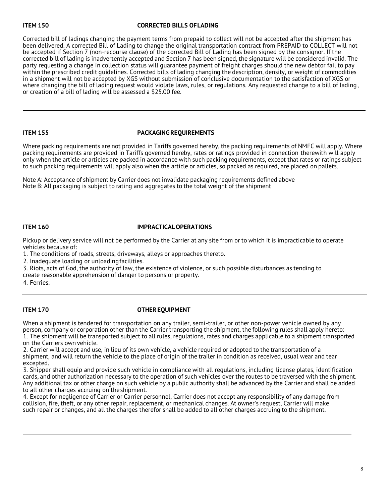### <span id="page-7-2"></span>**ITEM 150 CORRECTED BILLS OFLADING**

Corrected bill of ladings changing the payment terms from prepaid to collect will not be accepted after the shipment has been delivered. A corrected Bill of Lading to change the original transportation contract from PREPAID to COLLECT will not be accepted if Section 7 (non-recourse clause) of the corrected Bill of Lading has been signed by the consignor. If the corrected bill of lading is inadvertently accepted and Section 7 has been signed, the signature will be considered invalid. The party requesting a change in collection status will guarantee payment of freight charges should the new debtor fail to pay within the prescribed credit guidelines. Corrected bills of lading changing the description, density, or weight of commodities in a shipment will not be accepted by XGS without submission of conclusive documentation to the satisfaction of XGS or where changing the bill of lading request would violate laws, rules, or regulations. Any requested change to a bill of lading, or creation of a bill of lading will be assessed a \$25.00 fee.

### <span id="page-7-1"></span>**ITEM 155 PACKAGINGREQUIREMENTS**

Where packing requirements are not provided in Tariffs governed hereby, the packing requirements of NMFC will apply. Where packing requirements are provided in Tariffs governed hereby, rates or ratings provided in connection therewith will apply only when the article or articles are packed in accordance with such packing requirements, except that rates or ratings subject to such packing requirements will apply also when the article or articles, so packed as required, are placed on pallets.

Note A: Acceptance of shipment by Carrier does not invalidate packaging requirements defined above Note B: All packaging is subject to rating and aggregates to the total weight of the shipment

### <span id="page-7-3"></span>**ITEM 160 IMPRACTICALOPERATIONS**

Pickup or delivery service will not be performed by the Carrier at any site from or to which it is impracticable to operate vehicles because of:

1. The conditions of roads, streets, driveways, alleys or approaches thereto.

2. Inadequate loading or unloadingfacilities.

3. Riots, acts of God, the authority of law, the existence of violence, or such possible disturbances as tending to create reasonable apprehension of danger to persons or property.

4. Ferries.

### <span id="page-7-0"></span>**ITEM 170 OTHER EQUIPMENT**

When a shipment is tendered for transportation on any trailer, semi-trailer, or other non-power vehicle owned by any person, company or corporation other than the Carrier transporting the shipment, the following rules shall apply hereto: 1. The shipment will be transported subject to all rules, regulations, rates and charges applicable to a shipment transported on the Carriers own vehicle.

2. Carrier will accept and use, in lieu of its own vehicle, a vehicle required or adopted to the transportation of a shipment, and will return the vehicle to the place of origin of the trailer in condition as received, usual wear and tear excepted.

3. Shipper shall equip and provide such vehicle in compliance with all regulations, including license plates, identification cards, and other authorization necessary to the operation of such vehicles over the routes to be traversed with the shipment. Any additional tax or other charge on such vehicle by a public authority shall be advanced by the Carrier and shall be added to all other charges accruing on theshipment.

4. Except for negligence of Carrier or Carrier personnel, Carrier does not accept any responsibility of any damage from collision, fire, theft, or any other repair, replacement, or mechanical changes. At owner's request, Carrier will make such repair or changes, and all the charges therefor shall be added to all other charges accruing to the shipment.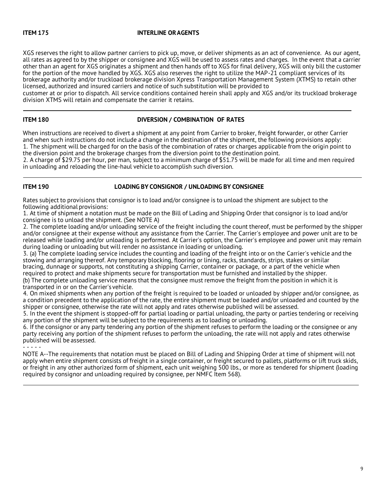### <span id="page-8-0"></span>**ITEM 175 INTERLINE ORAGENTS**

XGS reserves the right to allow partner carriers to pick up, move, or deliver shipments as an act of convenience. As our agent, all rates as agreed to by the shipper or consignee and XGS will be used to assess rates and charges. In the event that a carrier other than an agent for XGS originates a shipment and then hands off to XGS for final delivery, XGS will only bill the customer for the portion of the move handled by XGS. XGS also reserves the right to utilize the MAP-21 compliant services of its brokerage authority and/or truckload brokerage division Xpress Transportation Management System (XTMS) to retain other licensed, authorized and insured carriers and notice of such substitution will be provided to

customer at or prior to dispatch. All service conditions contained herein shall apply and XGS and/or its truckload brokerage division XTMS will retain and compensate the carrier it retains.

### <span id="page-8-2"></span>**ITEM 180 DIVERSION / COMBINATION OF RATES**

When instructions are received to divert a shipment at any point from Carrier to broker, freight forwarder, or other Carrier and when such instructions do not include a change in the destination of the shipment, the following provisions apply: 1. The shipment will be charged for on the basis of the combination of rates or charges applicable from the origin point to the diversion point and the brokerage charges from the diversion point to the destination point.

2. A charge of \$29.75 per hour, per man, subject to a minimum charge of \$51.75 will be made for all time and men required in unloading and reloading the line-haul vehicle to accomplish such diversion.

### <span id="page-8-1"></span>**ITEM 190 LOADING BY CONSIGNOR / UNLOADING BY CONSIGNEE**

Rates subject to provisions that consignor is to load and/or consignee is to unload the shipment are subject to the following additional provisions:

1. At time of shipment a notation must be made on the Bill of Lading and Shipping Order that consignor is to load and/or consignee is to unload the shipment. (See NOTE A)

2. The complete loading and/or unloading service of the freight including the count thereof, must be performed by the shipper and/or consignee at their expense without any assistance from the Carrier. The Carrier's employee and power unit are to be released while loading and/or unloading is performed. At Carrier's option, the Carrier's employee and power unit may remain during loading or unloading but will render no assistance in loading or unloading.

3. (a) The complete loading service includes the counting and loading of the freight into or on the Carrier's vehicle and the stowing and arranging thereof. Any temporary blocking, flooring or lining, racks, standards, strips, stakes or similar bracing, dunnage or supports, not constituting a shipping Carrier, container or package, or a part of the vehicle when required to protect and make shipments secure for transportation must be furnished and installed by the shipper. (b) The complete unloading service means that the consignee must remove the freight from the position in which it is transported in or on the Carrier's vehicle.

4. On mixed shipments when any portion of the freight is required to be loaded or unloaded by shipper and/or consignee, as a condition precedent to the application of the rate, the entire shipment must be loaded and/or unloaded and counted by the shipper or consignee, otherwise the rate will not apply and rates otherwise published will be assessed.

5. In the event the shipment is stopped-off for partial loading or partial unloading, the party or parties tendering or receiving any portion of the shipment will be subject to the requirements as to loading or unloading.

6. If the consignor or any party tendering any portion of the shipment refuses to perform the loading or the consignee or any party receiving any portion of the shipment refuses to perform the unloading, the rate will not apply and rates otherwise published will be assessed.

- - - - -

NOTE A--The requirements that notation must be placed on Bill of Lading and Shipping Order at time of shipment will not apply when entire shipment consists of freight in a single container, or freight secured to pallets, platforms or lift truck skids, or freight in any other authorized form of shipment, each unit weighing 500 lbs., or more as tendered for shipment (loading required by consignor and unloading required by consignee, per NMFC Item 568).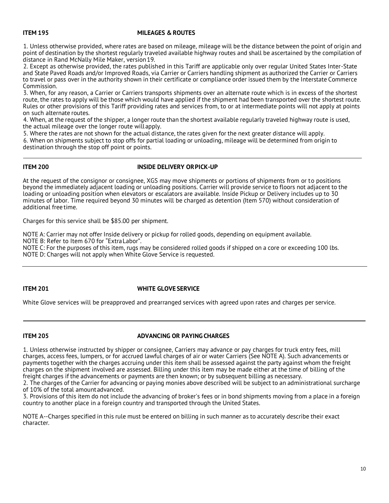### <span id="page-9-1"></span>**ITEM 195 MILEAGES & ROUTES**

1. Unless otherwise provided, where rates are based on mileage, mileage will be the distance between the point of origin and point of destination by the shortest regularly traveled available highway routes and shall be ascertained by the compilation of distance in Rand McNally Mile Maker, version19.

2. Except as otherwise provided, the rates published in this Tariff are applicable only over regular United States Inter-State and State Paved Roads and/or Improved Roads, via Carrier or Carriers handling shipment as authorized the Carrier or Carriers to travel or pass over in the authority shown in their certificate or compliance order issued them by the Interstate Commerce Commission.

3. When, for any reason, a Carrier or Carriers transports shipments over an alternate route which is in excess of the shortest route, the rates to apply will be those which would have applied if the shipment had been transported over the shortest route. Rules or other provisions of this Tariff providing rates and services from, to or at intermediate points will not apply at points on such alternate routes.

4. When, at the request of the shipper, a longer route than the shortest available regularly traveled highway route is used, the actual mileage over the longer route willapply.

5. Where the rates are not shown for the actual distance, the rates given for the next greater distance will apply.

6. When on shipments subject to stop offs for partial loading or unloading, mileage will be determined from origin to destination through the stop off point or points.

### <span id="page-9-3"></span>**ITEM 200 INSIDE DELIVERY ORPICK-UP**

At the request of the consignor or consignee, XGS may move shipments or portions of shipments from or to positions beyond the immediately adjacent loading or unloading positions. Carrier will provide service to floors not adjacent to the loading or unloading position when elevators or escalators are available. Inside Pickup or Delivery includes up to 30 minutes of labor. Time required beyond 30 minutes will be charged as detention (Item 570) without consideration of additional free time.

Charges for this service shall be \$85.00 per shipment.

NOTE A: Carrier may not offer Inside delivery or pickup for rolled goods, depending on equipment available.

NOTE B: Refer to Item 670 for "ExtraLabor".

NOTE C: For the purposes of this item, rugs may be considered rolled goods if shipped on a core or exceeding 100 lbs. NOTE D: Charges will not apply when White Glove Service is requested.

### <span id="page-9-2"></span>**ITEM 201 WHITE GLOVE SERVICE**

White Glove services will be preapproved and prearranged services with agreed upon rates and charges per service.

### <span id="page-9-0"></span>**ITEM 205 ADVANCING OR PAYINGCHARGES**

1. Unless otherwise instructed by shipper or consignee, Carriers may advance or pay charges for truck entry fees, mill charges, access fees, lumpers, or for accrued lawful charges of air or water Carriers (See NOTE A). Such advancements or payments together with the charges accruing under this item shall be assessed against the party against whom the freight charges on the shipment involved are assessed. Billing under this item may be made either at the time of billing of the freight charges if the advancements or payments are then known; or by subsequent billing as necessary.

2. The charges of the Carrier for advancing or paying monies above described will be subject to an administrational surcharge of 10% of the total amountadvanced.

3. Provisions of this item do not include the advancing of broker's fees or in bond shipments moving from a place in a foreign country to another place in a foreign country and transported through the United States.

NOTE A--Charges specified in this rule must be entered on billing in such manner as to accurately describe their exact character.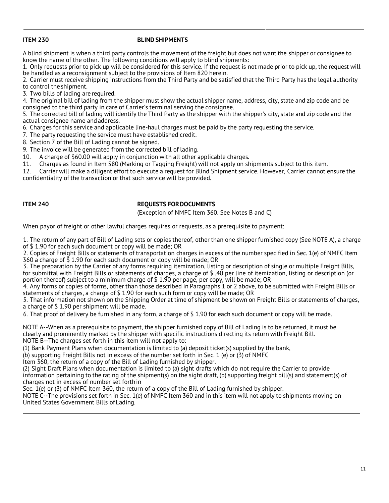### <span id="page-10-0"></span>**ITEM 230 BLIND SHIPMENTS**

A blind shipment is when a third party controls the movement of the freight but does not want the shipper or consignee to know the name of the other. The following conditions will apply to blind shipments:

1. Only requests prior to pick up will be considered for this service. If the request is not made prior to pick up, the request will be handled as a reconsignment subject to the provisions of Item 820 herein.

2. Carrier must receive shipping instructions from the Third Party and be satisfied that the Third Party has the legal authority to control the shipment.

3. Two bills of lading are required.

4. The original bill of lading from the shipper must show the actual shipper name, address, city, state and zip code and be consigned to the third party in care of Carrier's terminal serving the consignee.

5. The corrected bill of lading will identify the Third Party as the shipper with the shipper's city, state and zip code and the actual consignee name andaddress.

6. Charges for this service and applicable line-haul charges must be paid by the party requesting the service.

7. The party requesting the service must have established credit.

8. Section 7 of the Bill of Lading cannot be signed.

9. The invoice will be generated from the corrected bill of lading.

10. A charge of \$60.00 will apply in conjunction with all other applicable charges.

11. Charges as found in Item 580 (Marking or Tagging Freight) will not apply on shipments subject to this item.

12. Carrier will make a diligent effort to execute a request for Blind Shipment service. However, Carrier cannot ensure the confidentiality of the transaction or that such service will be provided.

### <span id="page-10-1"></span>**ITEM 240 REQUESTS FORDOCUMENTS**

(Exception of NMFC Item 360. See Notes B and C)

When payor of freight or other lawful charges requires or requests, as a prerequisite to payment:

1. The return of any part of Bill of Lading sets or copies thereof, other than one shipper furnished copy (See NOTE A), a charge of \$ 1.90 for each such document or copy will be made; OR

2. Copies of Freight Bills or statements of transportation charges in excess of the number specified in Sec. 1(e) of NMFC Item 360 a charge of \$ 1.90 for each such document or copy will be made; OR

3. The preparation by the Carrier of any forms requiring itemization, listing or description of single or multiple Freight Bills, for submittal with Freight Bills or statements of charges, a charge of \$ .40 per line of itemization, listing or description (or portion thereof) subject to a minimum charge of \$ 1.90 per page, per copy, will be made; OR

4. Any forms or copies of forms, other than those described in Paragraphs 1 or 2 above, to be submitted with Freight Bills or statements of charges, a charge of \$ 1.90 for each such form or copy will be made; OR

5. That information not shown on the Shipping Order at time of shipment be shown on Freight Bills or statements of charges, a charge of \$ 1.90 per shipment will be made.

6. That proof of delivery be furnished in any form, a charge of \$ 1.90 for each such document or copy will be made.

NOTE A--When as a prerequisite to payment, the shipper furnished copy of Bill of Lading is to be returned, it must be clearly and prominently marked by the shipper with specific instructions directing its return with Freight Bill. NOTE B--The charges set forth in this item will not apply to:

(1) Bank Payment Plans when documentation is limited to (a) deposit ticket(s) supplied by the bank,

(b) supporting Freight Bills not in excess of the number set forth in Sec. 1 (e) or (3) of NMFC

Item 360, the return of a copy of the Bill of Lading furnished by shipper.

(2) Sight Draft Plans when documentation is limited to (a) sight drafts which do not require the Carrier to provide information pertaining to the rating of the shipment(s) on the sight draft, (b) supporting freight bill(s) and statement(s) of charges not in excess of number set forthin

Sec. 1(e) or (3) of NMFC Item 360, the return of a copy of the Bill of Lading furnished by shipper.

NOTE C--The provisions set forth in Sec. 1(e) of NMFC Item 360 and in this item will not apply to shipments moving on United States Government Bills of Lading.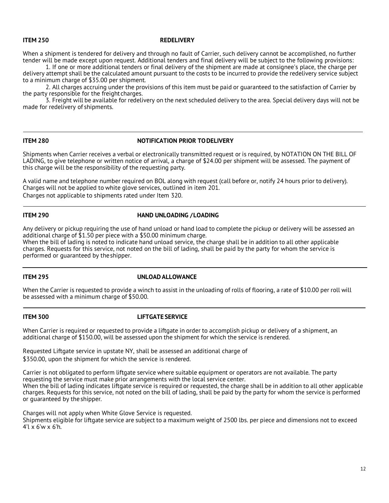### <span id="page-11-2"></span>**ITEM 250 REDELIVERY**

When a shipment is tendered for delivery and through no fault of Carrier, such delivery cannot be accomplished, no further tender will be made except upon request. Additional tenders and final delivery will be subject to the following provisions:

1. If one or more additional tenders or final delivery of the shipment are made at consignee's place, the charge per delivery attempt shall be the calculated amount pursuant to the costs to be incurred to provide the redelivery service subject to a minimum charge of \$35.00 per shipment.

2. All charges accruing under the provisions of this item must be paid or guaranteed to the satisfaction of Carrier by the party responsible for the freight charges.

3. Freight will be available for redelivery on the next scheduled delivery to the area. Special delivery days will not be made for redelivery of shipments.

### <span id="page-11-1"></span>**ITEM 280 NOTIFICATION PRIOR TODELIVERY**

Shipments when Carrier receives a verbal or electronically transmitted request or is required, by NOTATION ON THE BILL OF LADING, to give telephone or written notice of arrival, a charge of \$24.00 per shipment will be assessed. The payment of this charge will be the responsibility of the requesting party.

A valid name and telephone number required on BOL along with request (call before or, notify 24 hours prior to delivery). Charges will not be applied to white glove services, outlined in item 201. Charges not applicable to shipments rated under Item 320.

### <span id="page-11-3"></span>**ITEM 290 HAND UNLOADING /LOADING**

Any delivery or pickup requiring the use of hand unload or hand load to complete the pickup or delivery will be assessed an additional charge of \$1.50 per piece with a \$50.00 minimum charge.

When the bill of lading is noted to indicate hand unload service, the charge shall be in addition to all other applicable charges. Requests for this service, not noted on the bill of lading, shall be paid by the party for whom the service is performed or guaranteed by theshipper.

### <span id="page-11-4"></span>**ITEM 295 UNLOADALLOWANCE**

When the Carrier is requested to provide a winch to assist in the unloading of rolls of flooring, a rate of \$10.00 per roll will be assessed with a minimum charge of \$50.00.

### <span id="page-11-0"></span>**ITEM 300 LIFTGATE SERVICE**

When Carrier is required or requested to provide a liftgate in order to accomplish pickup or delivery of a shipment, an additional charge of \$150.00, will be assessed upon the shipment for which the service is rendered.

Requested Liftgate service in upstate NY, shall be assessed an additional charge of \$350.00, upon the shipment for which the service is rendered.

Carrier is not obligated to perform liftgate service where suitable equipment or operators are not available. The party requesting the service must make prior arrangements with the local service center. When the bill of lading indicates liftgate service is required or requested, the charge shall be in addition to all other applicable charges. Requests for this service, not noted on the bill of lading, shall be paid by the party for whom the service is performed or guaranteed by the shipper.

Charges will not apply when White Glove Service is requested.

Shipments eligible for liftgate service are subject to a maximum weight of 2500 lbs. per piece and dimensions not to exceed 4'l x 6'w x 6'h.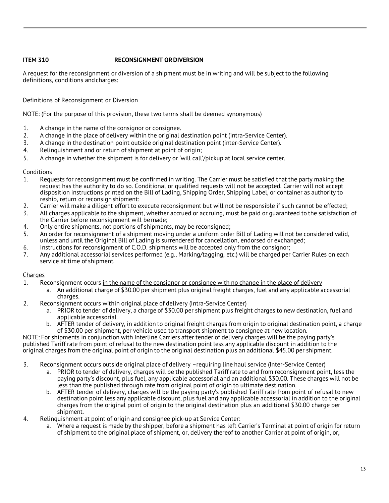### <span id="page-12-0"></span>**ITEM 310 RECONSIGNMENT ORDIVERSION**

A request for the reconsignment or diversion of a shipment must be in writing and will be subject to the following definitions, conditions and charges:

### Definitions of Reconsignment or Diversion

NOTE: (For the purpose of this provision, these two terms shall be deemed synonymous)

- 1. A change in the name of the consignor or consignee.
- 2. A change in the place of delivery within the original destination point (intra-Service Center).
- 3. A change in the destination point outside original destination point (inter-Service Center).
- Relinguishment and or return of shipment at point of origin;
- 5. A change in whether the shipment is for delivery or 'will call'/pickup at local service center.

### Conditions

- 1. Requests for reconsignment must be confirmed in writing. The Carrier must be satisfied that the party making the request has the authority to do so. Conditional or qualified requests will not be accepted. Carrier will not accept disposition instructions printed on the Bill of Lading, Shipping Order, Shipping Label, or container as authority to reship, return or reconsignshipment:
- 2. Carrier will make a diligent effort to execute reconsignment but will not be responsible if such cannot be effected;
- 3. All charges applicable to the shipment, whether accrued or accruing, must be paid or guaranteed to the satisfaction of the Carrier before reconsignment will bemade;
- 4. Only entire shipments, not portions of shipments, may be reconsigned;
- 5. An order for reconsignment of a shipment moving under a uniform order Bill of Lading will not be considered valid, unless and until the Original Bill of Lading is surrendered for cancellation, endorsed or exchanged;
- 6. Instructions for reconsignment of C.O.D. shipments will be accepted only from the consignor;
- 7. Any additional accessorial services performed (e.g., Marking/tagging, etc.) will be charged per Carrier Rules on each service at time of shipment.

### Charges

- 1. Reconsignment occurs in the name of the consignor or consignee with no change in the place of delivery
	- a. An additional charge of \$30.00 per shipment plus original freight charges, fuel and any applicable accessorial charges.
- 2. Reconsignment occurs within original place of delivery (Intra-Service Center)
	- a. PRIOR to tender of delivery, a charge of \$30.00 per shipment plus freight charges to new destination, fuel and applicable accessorial.
	- b. AFTER tender of delivery, in addition to original freight charges from origin to original destination point, a charge of \$30.00 per shipment, per vehicle used to transport shipment to consignee at new location.

NOTE: For shipments in conjunction with Interline Carriers after tender of delivery charges will be the paying party's published Tariff rate from point of refusal to the new destination point less any applicable discount in addition to the original charges from the original point of origin to the original destination plus an additional \$45.00 per shipment.

- 3. Reconsignment occurs outside original place of delivery –requiring line haul service (Inter-Service Center)
	- a. PRIOR to tender of delivery, charges will be the published Tariff rate to and from reconsignment point, less the paying party's discount, plus fuel, any applicable accessorial and an additional \$30.00. These charges will not be less than the published through rate from original point of origin to ultimate destination.
	- b. AFTER tender of delivery, charges will be the paying party's published Tariff rate from point of refusal to new destination point less any applicable discount, plus fuel and any applicable accessorial in addition to the original charges from the original point of origin to the original destination plus an additional \$30.00 charge per shipment.
- 4. Relinquishment at point of origin and consignee pick-up at Service Center:
	- a. Where a request is made by the shipper, before a shipment has left Carrier's Terminal at point of origin for return of shipment to the original place of shipment, or, delivery thereof to another Carrier at point of origin, or,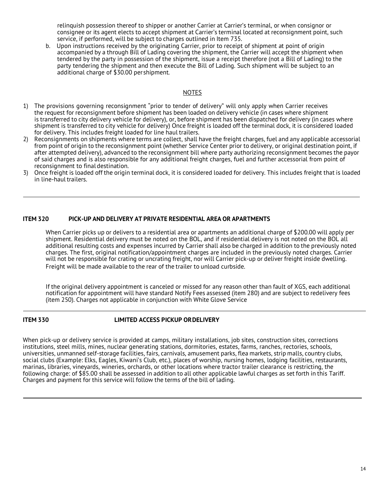relinquish possession thereof to shipper or another Carrier at Carrier's terminal, or when consignor or consignee or its agent elects to accept shipment at Carrier's terminal located at reconsignment point, such service, if performed, will be subject to charges outlined in Item 735.

b. Upon instructions received by the originating Carrier, prior to receipt of shipment at point of origin accompanied by a through Bill of Lading covering the shipment, the Carrier will accept the shipment when tendered by the party in possession of the shipment, issue a receipt therefore (not a Bill of Lading) to the party tendering the shipment and then execute the Bill of Lading. Such shipment will be subject to an additional charge of \$30.00 per shipment.

### NOTES

- 1) The provisions governing reconsignment "prior to tender of delivery" will only apply when Carrier receives the request for reconsignment before shipment has been loaded on delivery vehicle (in cases where shipment is transferred to city delivery vehicle for delivery), or, before shipment has been dispatched for delivery (in cases where shipment is transferred to city vehicle for delivery) Once freight is loaded off the terminal dock, it is considered loaded for delivery. This includes freight loaded for line haul trailers.
- 2) Reconsignments on shipments where terms are collect, shall have the freight charges, fuel and any applicable accessorial from point of origin to the reconsignment point (whether Service Center prior to delivery, or original destination point, if after attempted delivery), advanced to the reconsignment bill where party authorizing reconsignment becomes the payor of said charges and is also responsible for any additional freight charges, fuel and further accessorial from point of reconsignment to final destination.
- 3) Once freight is loaded off the origin terminal dock, it is considered loaded for delivery. This includes freight that is loaded in line-haul trailers.

### <span id="page-13-1"></span>**ITEM 320 PICK-UP AND DELIVERY AT PRIVATE RESIDENTIAL AREA OR APARTMENTS**

When Carrier picks up or delivers to a residential area or apartments an additional charge of \$200.00 will apply per shipment. Residential delivery must be noted on the BOL, and if residential delivery is not noted on the BOL all additional resulting costs and expenses incurred by Carrier shall also be charged in addition to the previously noted charges. The first, original notification/appointment charges are included in the previously noted charges. Carrier will not be responsible for crating or uncrating freight, nor will Carrier pick-up or deliver freight inside dwelling. Freight will be made available to the rear of the trailer to unload curbside.

If the original delivery appointment is canceled or missed for any reason other than fault of XGS, each additional notification for appointment will have standard Notify Fees assessed (item 280) and are subject to redelivery fees (item 250). Charges not applicable in conjunction with White Glove Service

### <span id="page-13-0"></span>**ITEM 330 LIMITED ACCESS PICKUP ORDELIVERY**

When pick-up or delivery service is provided at camps, military installations, job sites, construction sites, corrections institutions, steel mills, mines, nuclear generating stations, dormitories, estates, farms, ranches, rectories, schools, universities, unmanned self-storage facilities, fairs, carnivals, amusement parks, flea markets, strip malls, country clubs, social clubs (Example: Elks, Eagles, Kiwani's Club, etc.), places of worship, nursing homes, lodging facilities, restaurants, marinas, libraries, vineyards, wineries, orchards, or other locations where tractor trailer clearance is restricting, the following charge: of \$85.00 shall be assessed in addition to all other applicable lawful charges as set forth in this Tariff. Charges and payment for this service will follow the terms of the bill of lading.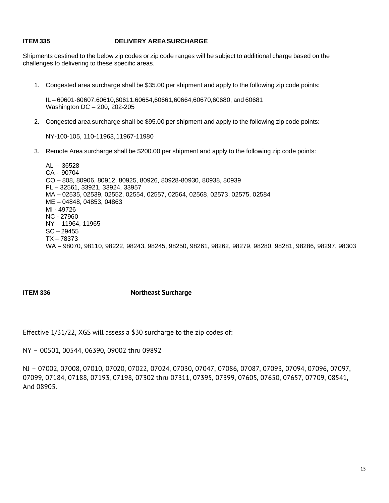### <span id="page-14-0"></span>**ITEM 335 DELIVERY AREASURCHARGE**

Shipments destined to the below zip codes or zip code ranges will be subject to additional charge based on the challenges to delivering to these specific areas.

1. Congested area surcharge shall be \$35.00 per shipment and apply to the following zip code points:

IL–60601-60607,60610,60611,60654,60661,60664,60670,60680, and60681 Washington DC – 200, 202-205

2. Congested area surcharge shall be \$95.00 per shipment and apply to the following zip code points:

NY-100-105, 110-11963,11967-11980

3. Remote Area surcharge shall be \$200.00 per shipment and apply to the following zip code points:

AL – 36528 CA - 90704 CO – 808, 80906, 80912, 80925, 80926, 80928-80930, 80938, 80939 FL – 32561, 33921, 33924, 33957 MA – 02535, 02539, 02552, 02554, 02557, 02564, 02568, 02573, 02575, 02584 ME – 04848, 04853, 04863 MI - 49726 NC - 27960 NY – 11964, 11965 SC –29455 TX – 78373 WA – 98070, 98110, 98222, 98243, 98245, 98250, 98261, 98262, 98279, 98280, 98281, 98286, 98297, 98303

### **ITEM 336 Northeast Surcharge**

Effective 1/31/22, XGS will assess a \$30 surcharge to the zip codes of:

NY – 00501, 00544, 06390, 09002 thru 09892

NJ – 07002, 07008, 07010, 07020, 07022, 07024, 07030, 07047, 07086, 07087, 07093, 07094, 07096, 07097, 07099, 07184, 07188, 07193, 07198, 07302 thru 07311, 07395, 07399, 07605, 07650, 07657, 07709, 08541, And 08905.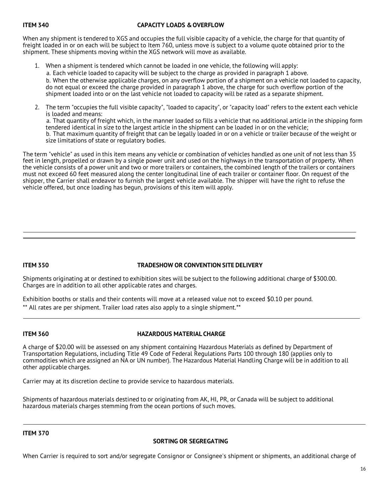### <span id="page-15-0"></span>**ITEM 340 CAPACITY LOADS & OVERFLOW**

When any shipment is tendered to XGS and occupies the full visible capacity of a vehicle, the charge for that quantity of freight loaded in or on each will be subject to Item 760, unless move is subject to a volume quote obtained prior to the shipment. These shipments moving within the XGS network will move as available.

1. When a shipment is tendered which cannot be loaded in one vehicle, the following will apply:

a. Each vehicle loaded to capacity will be subject to the charge as provided in paragraph 1 above.

b. When the otherwise applicable charges, on any overflow portion of a shipment on a vehicle not loaded to capacity, do not equal or exceed the charge provided in paragraph 1 above, the charge for such overflow portion of the shipment loaded into or on the last vehicle not loaded to capacity will be rated as a separate shipment.

2. The term "occupies the full visible capacity", "loaded to capacity", or "capacity load" refers to the extent each vehicle is loaded and means: a. That quantity of freight which, in the manner loaded so fills a vehicle that no additional article in the shipping form

tendered identical in size to the largest article in the shipment can be loaded in or on the vehicle; b. That maximum quantity of freight that can be legally loaded in or on a vehicle or trailer because of the weight or size limitations of state or regulatory bodies.

The term "vehicle" as used in this item means any vehicle or combination of vehicles handled as one unit of not less than 35 feet in length, propelled or drawn by a single power unit and used on the highways in the transportation of property. When the vehicle consists of a power unit and two or more trailers or containers, the combined length of the trailers or containers must not exceed 60 feet measured along the center longitudinal line of each trailer or container floor. On request of the shipper, the Carrier shall endeavor to furnish the largest vehicle available. The shipper will have the right to refuse the vehicle offered, but once loading has begun, provisions of this item will apply.

### <span id="page-15-2"></span>**ITEM 350 TRADESHOW OR CONVENTION SITE DELIVERY**

Shipments originating at or destined to exhibition sites will be subject to the following additional charge of \$300.00. Charges are in addition to all other applicable rates and charges.

Exhibition booths or stalls and their contents will move at a released value not to exceed \$0.10 per pound. \*\* All rates are per shipment. Trailer load rates also apply to a single shipment.\*\*

### <span id="page-15-3"></span>**ITEM 360 HAZARDOUS MATERIAL CHARGE**

A charge of \$20.00 will be assessed on any shipment containing Hazardous Materials as defined by Department of Transportation Regulations, including Title 49 Code of Federal Regulations Parts 100 through 180 (applies only to commodities which are assigned an NA or UN number). The Hazardous Material Handling Charge will be in addition to all other applicable charges.

Carrier may at its discretion decline to provide service to hazardous materials.

Shipments of hazardous materials destined to or originating from AK, HI, PR, or Canada will be subject to additional hazardous materials charges stemming from the ocean portions of such moves.

### <span id="page-15-1"></span>**ITEM 370**

### **SORTING OR SEGREGATING**

When Carrier is required to sort and/or segregate Consignor or Consignee's shipment or shipments, an additional charge of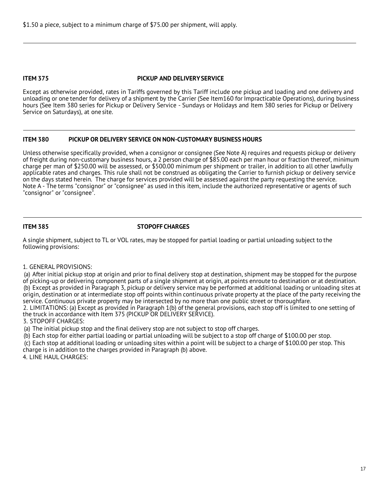### <span id="page-16-0"></span>**ITEM 375 PICKUP AND DELIVERYSERVICE**

Except as otherwise provided, rates in Tariffs governed by this Tariff include one pickup and loading and one delivery and unloading or one tender for delivery of a shipment by the Carrier (See Item160 for Impracticable Operations), during business hours (See Item 380 series for Pickup or Delivery Service - Sundays or Holidays and Item 380 series for Pickup or Delivery Service on Saturdays), at one site.

### <span id="page-16-1"></span>**ITEM 380 PICKUP OR DELIVERY SERVICE ON NON-CUSTOMARY BUSINESS HOURS**

Unless otherwise specifically provided, when a consignor or consignee (See Note A) requires and requests pickup or delivery of freight during non-customary business hours, a 2 person charge of \$85.00 each per man hour or fraction thereof, minimum charge per man of \$250.00 will be assessed, or \$500.00 minimum per shipment or trailer, in addition to all other lawfully applicable rates and charges. This rule shall not be construed as obligating the Carrier to furnish pickup or delivery service on the days stated herein. The charge for services provided will be assessed against the party requesting the service. Note A - The terms "consignor" or "consignee" as used in this item, include the authorized representative or agents of such "consignor" or "consignee".

### <span id="page-16-2"></span>**ITEM 385 STOPOFF CHARGES**

A single shipment, subject to TL or VOL rates, may be stopped for partial loading or partial unloading subject to the following provisions:

### 1. GENERAL PROVISIONS:

(a) After initial pickup stop at origin and prior to final delivery stop at destination, shipment may be stopped for the purpose of picking-up or delivering component parts of a single shipment at origin, at points enroute to destination or at destination. (b) Except as provided in Paragraph 3, pickup or delivery service may be performed at additional loading or unloading sites at origin, destination or at intermediate stop off points within continuous private property at the place of the party receiving the service. Continuous private property may be intersected by no more than one public street or thoroughfare.

2. LIMITATIONS: (a) Except as provided in Paragraph 1(b) of the general provisions, each stop off is limited to one setting of the truck in accordance with Item 375 (PICKUP OR DELIVERY SERVICE).

### 3. STOPOFF CHARGES:

(a) The initial pickup stop and the final delivery stop are not subject to stop off charges.

(b) Each stop for either partial loading or partial unloading will be subject to a stop off charge of \$100.00 per stop.

(c) Each stop at additional loading or unloading sites within a point will be subject to a charge of \$100.00 per stop. This charge is in addition to the charges provided in Paragraph (b) above.

4. LINE HAUL CHARGES: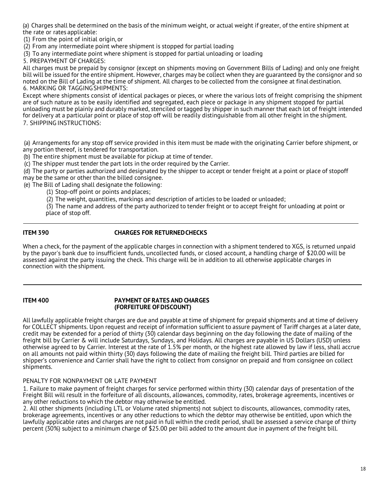(a) Charges shall be determined on the basis of the minimum weight, or actual weight if greater, of the entire shipment at the rate or rates applicable:

(1) From the point of initial origin, or

(2) From any intermediate point where shipment is stopped for partial loading

(3) To any intermediate point where shipment is stopped for partial unloading or loading

5. PREPAYMENT OF CHARGES:

All charges must be prepaid by consignor (except on shipments moving on Government Bills of Lading) and only one freight bill will be issued for the entire shipment. However, charges may be collect when they are guaranteed by the consignor and so noted on the Bill of Lading at the time of shipment. All charges to be collected from the consignee at final destination. 6. MARKING OR TAGGINGSHIPMENTS:

Except where shipments consist of identical packages or pieces, or where the various lots of freight comprising the shipment are of such nature as to be easily identified and segregated, each piece or package in any shipment stopped for partial unloading must be plainly and durably marked, stenciled or tagged by shipper in such manner that each lot of freight intended for delivery at a particular point or place of stop off will be readily distinguishable from all other freight in the shipment. 7. SHIPPING INSTRUCTIONS:

(a) Arrangements for any stop off service provided in this item must be made with the originating Carrier before shipment, or any portion thereof, is tendered for transportation.

(b) The entire shipment must be available for pickup at time of tender.

(c) The shipper must tender the part lots in the order required by the Carrier.

(d) The party or parties authorized and designated by the shipper to accept or tender freight at a point or place of stopoff may be the same or other than the billed consignee.

(e) The Bill of Lading shall designate the following:

(1) Stop-off point or points andplaces;

(2) The weight, quantities, markings and description of articles to be loaded or unloaded;

(3) The name and address of the party authorized to tender freight or to accept freight for unloading at point or place of stop off.

### <span id="page-17-0"></span>**ITEM 390 CHARGES FOR RETURNEDCHECKS**

When a check, for the payment of the applicable charges in connection with a shipment tendered to XGS, is returned unpaid by the payor's bank due to insufficient funds, uncollected funds, or closed account, a handling charge of \$20.00 will be assessed against the party issuing the check. This charge will be in addition to all otherwise applicable charges in connection with the shipment.

### <span id="page-17-1"></span>**ITEM 400 PAYMENT OF RATES AND CHARGES (FORFEITURE OFDISCOUNT)**

All lawfully applicable freight charges are due and payable at time of shipment for prepaid shipments and at time of delivery for COLLECT shipments. Upon request and receipt of information sufficient to assure payment of Tariff charges at a later date, credit may be extended for a period of thirty (30) calendar days beginning on the day following the date of mailing of the freight bill by Carrier & will include Saturdays, Sundays, and Holidays. All charges are payable in US Dollars (USD) unless otherwise agreed to by Carrier. Interest at the rate of 1.5% per month, or the highest rate allowed by law if less, shall accrue on all amounts not paid within thirty (30) days following the date of mailing the freight bill. Third parties are billed for shipper's convenience and Carrier shall have the right to collect from consignor on prepaid and from consignee on collect shipments.

### PENALTY FOR NONPAYMENT OR LATE PAYMENT

1. Failure to make payment of freight charges for service performed within thirty (30) calendar days of presentation of the Freight Bill will result in the forfeiture of all discounts, allowances, commodity, rates, brokerage agreements, incentives or any other reductions to which the debtor may otherwise be entitled.

2. All other shipments (including LTL or Volume rated shipments) not subject to discounts, allowances, commodity rates, brokerage agreements, incentives or any other reductions to which the debtor may otherwise be entitled, upon which the lawfully applicable rates and charges are not paid in full within the credit period, shall be assessed a service charge of thirty percent (30%) subject to a minimum charge of \$25.00 per bill added to the amount due in payment of the freight bill.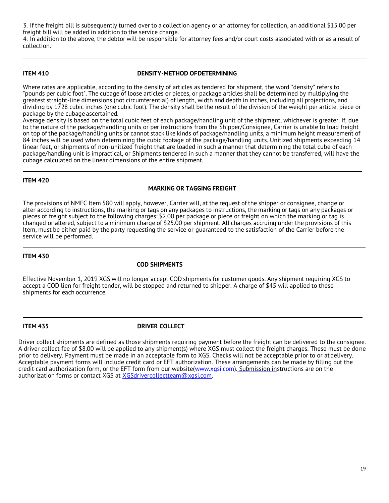3. If the freight bill is subsequently turned over to a collection agency or an attorney for collection, an additional \$15.00 per freight bill will be added in addition to the service charge.

4. In addition to the above, the debtor will be responsible for attorney fees and/or court costs associated with or as a result of collection.

### <span id="page-18-2"></span>**ITEM 410 DENSITY-METHOD OFDETERMINING**

Where rates are applicable, according to the density of articles as tendered for shipment, the word "density" refers to "pounds per cubic foot". The cubage of loose articles or pieces, or package articles shall be determined by multiplying the greatest straight-line dimensions (not circumferential) of length, width and depth in inches, including all projections, and dividing by 1728 cubic inches (one cubic foot). The density shall be the result of the division of the weight per article, piece or package by the cubage ascertained.

Average density is based on the total cubic feet of each package/handling unit of the shipment, whichever is greater. If, due to the nature of the package/handling units or per instructions from the Shipper/Consignee, Carrier is unable to load freight on top of the package/handling units or cannot stack like kinds of package/handling units, a minimum height measurement of 84 inches will be used when determining the cubic footage of the package/handling units. Unitized shipments exceeding 14 linear feet, or shipments of non-unitized freight that are loaded in such a manner that determining the total cube of each package/handling unit is impractical, or Shipments tendered in such a manner that they cannot be transferred, will have the cubage calculated on the linear dimensions of the entire shipment.

### <span id="page-18-0"></span>**ITEM 420**

### **MARKING OR TAGGING FREIGHT**

The provisions of NMFC Item 580 will apply, however, Carrier will, at the request of the shipper or consignee, change or alter according to instructions, the marking or tags on any packages to instructions, the marking or tags on any packages or pieces of freight subject to the following charges: \$2.00 per package or piece or freight on which the marking or tag is changed or altered, subject to a minimum charge of \$25.00 per shipment. All charges accruing under the provisions of this Item, must be either paid by the party requesting the service or guaranteed to the satisfaction of the Carrier before the service will be performed.

### <span id="page-18-1"></span>**ITEM 430**

### **COD SHIPMENTS**

Effective November 1, 2019 XGS will no longer accept COD shipments for customer goods. Any shipment requiring XGS to accept a COD lien for freight tender, will be stopped and returned to shipper. A charge of \$45 will applied to these shipments for each occurrence.

### <span id="page-18-3"></span>**ITEM 435 DRIVER COLLECT**

Driver collect shipments are defined as those shipments requiring payment before the freight can be delivered to the consignee. A driver collect fee of \$8.00 will be applied to any shipment(s) where XGS must collect the freight charges. These must be done prior to delivery. Payment must be made in an acceptable form to XGS. Checks will not be acceptable prior to or atdelivery. Acceptable payment forms will include credit card or EFT authorization. These arrangements can be made by filling out the credit card authorization form, or the EFT form from our website[\(www.xgsi.com\)](http://www.xgsi.com/). Submission instructions are on the authorization forms or contact XGS at [XGSdrivercollectteam@xgsi.com.](mailto:XGSdrivercollectteam@xgsi.com)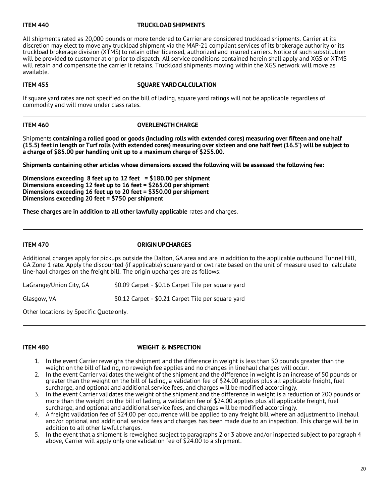### <span id="page-19-3"></span>**ITEM 440 TRUCKLOADSHIPMENTS**

All shipments rated as 20,000 pounds or more tendered to Carrier are considered truckload shipments. Carrier at its discretion may elect to move any truckload shipment via the MAP-21 compliant services of its brokerage authority or its truckload brokerage division (XTMS) to retain other licensed, authorized and insured carriers. Notice of such substitution will be provided to customer at or prior to dispatch. All service conditions contained herein shall apply and XGS or XTMS will retain and compensate the carrier it retains. Truckload shipments moving within the XGS network will move as available.

### <span id="page-19-2"></span>**ITEM 455 SQUARE YARDCALCULATION**

If square yard rates are not specified on the bill of lading, square yard ratings will not be applicable regardless of commodity and will move under class rates.

### <span id="page-19-1"></span>**ITEM 460 OVERLENGTHCHARGE**

Shipments **containing a rolled good or goods (including rolls with extended cores) measuring over fifteen and one half** (15.5) feet in length or Turf rolls (with extended cores) measuring over sixteen and one half feet (16.5') will be subject to **a charge of \$85.00 per handling unit up to a maximum charge of \$255.00.** 

**Shipments containing other articles whose dimensions exceed the following will be assessed the following fee:**

**Dimensions exceeding 8 feet up to 12 feet = \$180.00 per shipment Dimensions exceeding 12 feet up to 16 feet = \$265.00 per shipment Dimensions exceeding 16 feet up to 20 feet = \$350.00 per shipment Dimensions exceeding 20 feet = \$750 per shipment** 

**These charges are in addition to all other lawfully applicable** rates and charges.

### <span id="page-19-0"></span>**ITEM 470 ORIGIN UPCHARGES**

Additional charges apply for pickups outside the Dalton, GA area and are in addition to the applicable outbound Tunnel Hill, GA Zone 1 rate. Apply the discounted (if applicable) square yard or cwt rate based on the unit of measure used to calculate line-haul charges on the freight bill. The origin upcharges are as follows:

LaGrange/Union City, GA  $$0.09$  Carpet - \$0.16 Carpet Tile per square yard

Glasgow, VA  $$0.12$  Carpet - \$0.21 Carpet Tile per square yard

Other locations by Specific Quote only.

### <span id="page-19-4"></span>**ITEM 480 WEIGHT & INSPECTION**

- 1. In the event Carrier reweighs the shipment and the difference in weight is less than 50 pounds greater than the weight on the bill of lading, no reweigh fee applies and no changes in linehaul charges will occur.
- 2. In the event Carrier validates the weight of the shipment and the difference in weight is an increase of 50 pounds or greater than the weight on the bill of lading, a validation fee of \$24.00 applies plus all applicable freight, fuel surcharge, and optional and additional service fees, and charges will be modified accordingly.
- 3. In the event Carrier validates the weight of the shipment and the difference in weight is a reduction of 200 pounds or more than the weight on the bill of lading, a validation fee of \$24.00 applies plus all applicable freight, fuel surcharge, and optional and additional service fees, and charges will be modified accordingly.
- 4. A freight validation fee of \$24.00 per occurrence will be applied to any freight bill where an adjustment to linehaul and/or optional and additional service fees and charges has been made due to an inspection. This charge will be in addition to all other lawful charges.
- 5. In the event that a shipment is reweighed subject to paragraphs 2 or 3 above and/or inspected subject to paragraph 4 above, Carrier will apply only one validation fee of \$24.00 to a shipment.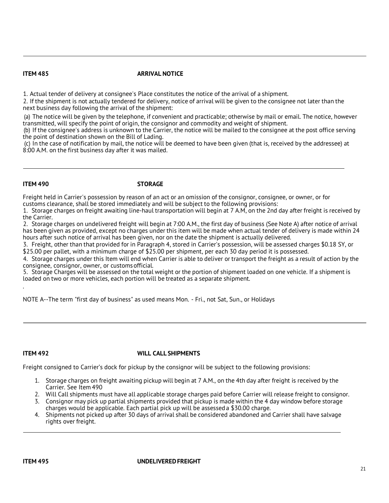### <span id="page-20-0"></span>**ITEM 485 ARRIVAL NOTICE**

1. Actual tender of delivery at consignee's Place constitutes the notice of the arrival of a shipment.

2. If the shipment is not actually tendered for delivery, notice of arrival will be given to the consignee not later than the next business day following the arrival of the shipment:

(a) The notice will be given by the telephone, if convenient and practicable; otherwise by mail or email. The notice, however transmitted, will specify the point of origin, the consignor and commodity and weight of shipment.

(b) If the consignee's address is unknown to the Carrier, the notice will be mailed to the consignee at the post office serving the point of destination shown on the Bill of Lading.

(c) In the case of notification by mail, the notice will be deemed to have been given (that is, received by the addressee) at 8:00 A.M. on the first business day after it was mailed.

### <span id="page-20-1"></span>**ITEM 490 STORAGE**

Freight held in Carrier's possession by reason of an act or an omission of the consignor, consignee, or owner, or for customs clearance, shall be stored immediately and will be subject to the following provisions:

1. Storage charges on freight awaiting line-haul transportation will begin at 7 A.M, on the 2nd day after freight is received by the Carrier.

2. Storage charges on undelivered freight will begin at 7:00 A.M., the first day of business (See Note A) after notice of arrival has been given as provided, except no charges under this item will be made when actual tender of delivery is made within 24 hours after such notice of arrival has been given, nor on the date the shipment is actually delivered.

3. Freight, other than that provided for in Paragraph 4, stored in Carrier's possession, will be assessed charges \$0.18 SY, or \$25.00 per pallet, with a minimum charge of \$25.00 per shipment, per each 30 day period it is possessed.

4. Storage charges under this Item will end when Carrier is able to deliver or transport the freight as a result of action by the consignee, consignor, owner, or customsofficial.

5. Storage Charges will be assessed on the total weight or the portion of shipment loaded on one vehicle. If a shipment is loaded on two or more vehicles, each portion will be treated as a separate shipment.

NOTE A--The term "first day of business" as used means Mon. - Fri., not Sat, Sun., or Holidays

.

### <span id="page-20-3"></span>**ITEM 492 WILL CALL SHIPMENTS**

Freight consigned to Carrier's dock for pickup by the consignor will be subject to the following provisions:

- 1. Storage charges on freight awaiting pickup will begin at 7 A.M., on the 4th day after freight is received by the Carrier. See Item 490
- 2. Will Call shipments must have all applicable storage charges paid before Carrier will release freight to consignor.
- 3. Consignor may pick up partial shipments provided that pickup is made within the 4 day window before storage charges would be applicable. Each partial pick up will be assessed a \$30.00 charge.
- <span id="page-20-2"></span>4. Shipments not picked up after 30 days of arrival shall be considered abandoned and Carrier shall have salvage rights over freight.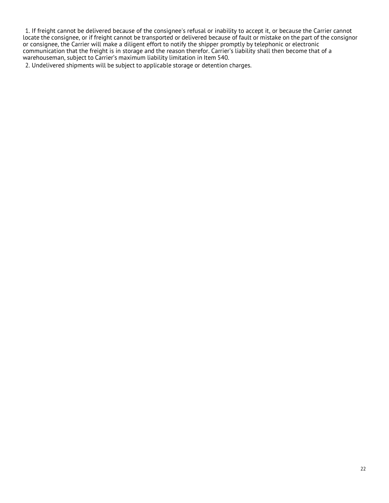1. If freight cannot be delivered because of the consignee's refusal or inability to accept it, or because the Carrier cannot locate the consignee, or if freight cannot be transported or delivered because of fault or mistake on the part of the consignor or consignee, the Carrier will make a diligent effort to notify the shipper promptly by telephonic or electronic communication that the freight is in storage and the reason therefor. Carrier's liability shall then become that of a warehouseman, subject to Carrier's maximum liability limitation in Item 540.

2. Undelivered shipments will be subject to applicable storage or detention charges.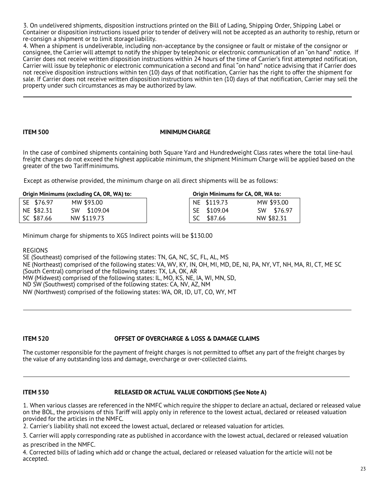3. On undelivered shipments, disposition instructions printed on the Bill of Lading, Shipping Order, Shipping Label or Container or disposition instructions issued prior to tender of delivery will not be accepted as an authority to reship, return or re-consign a shipment or to limit storageliability.

4. When a shipment is undeliverable, including non-acceptance by the consignee or fault or mistake of the consignor or consignee, the Carrier will attempt to notify the shipper by telephonic or electronic communication of an "on hand" notice. If Carrier does not receive written disposition instructions within 24 hours of the time of Carrier's first attempted notification, Carrier will issue by telephonic or electronic communication a second and final "on hand" notice advising that if Carrier does not receive disposition instructions within ten (10) days of that notification, Carrier has the right to offer the shipment for sale. If Carrier does not receive written disposition instructions within ten (10) days of that notification, Carrier may sell the property under such circumstances as may be authorized by law.

### <span id="page-22-0"></span>**ITEM 500 MINIMUM CHARGE**

In the case of combined shipments containing both Square Yard and Hundredweight Class rates where the total line-haul freight charges do not exceed the highest applicable minimum, the shipment Minimum Charge will be applied based on the greater of the two Tariff minimums.

Except as otherwise provided, the minimum charge on all direct shipments will be as follows:

**Origin Minimums (excluding CA, OR, WA) to: Origin Minimums for CA, OR, WA to:**

|            | <b>Unique Municipality CA, UK, WA) to.</b> | <b>UILDITION OF CA, UK, WA LU.</b> |            |
|------------|--------------------------------------------|------------------------------------|------------|
| SE \$76.97 | MW \$93.00                                 | NE \$119.73                        | MW \$93.00 |
| NE \$82.31 | \$109.04<br>SW.                            | SE \$109.04                        | SW \$76.97 |
| SC \$87.66 | NW \$119.73                                | SC \$87.66                         | NW \$82.31 |

Minimum charge for shipments to XGS Indirect points will be \$130.00

REGIONS

SE (Southeast) comprised of the following states: TN, GA, NC, SC, FL, AL, MS NE (Northeast) comprised of the following states: VA, WV, KY, IN, OH, MI, MD, DE, NJ, PA, NY, VT, NH, MA, RI, CT, ME SC (South Central) comprised of the following states: TX, LA, OK, AR MW (Midwest) comprised of the following states: IL, MO, KS, NE, IA, WI, MN, SD, ND SW (Southwest) comprised of the following states: CA, NV, AZ, NM NW (Northwest) comprised of the following states: WA, OR, ID, UT, CO, WY, MT

### <span id="page-22-1"></span>**ITEM 520 OFFSET OF OVERCHARGE & LOSS & DAMAGE CLAIMS**

The customer responsible for the payment of freight charges is not permitted to offset any part of the freight charges by the value of any outstanding loss and damage, overcharge or over-collected claims.

### <span id="page-22-2"></span>**ITEM 530 RELEASED OR ACTUAL VALUE CONDITIONS (See Note A)**

1. When various classes are referenced in the NMFC which require the shipper to declare an actual, declared or released value on the BOL, the provisions of this Tariff will apply only in reference to the lowest actual, declared or released valuation provided for the articles in the NMFC.

2. Carrier's liability shall not exceed the lowest actual, declared or released valuation for articles.

3. Carrier will apply corresponding rate as published in accordance with the lowest actual, declared or released valuation as prescribed in the NMFC.

4. Corrected bills of lading which add or change the actual, declared or released valuation for the article will not be accepted.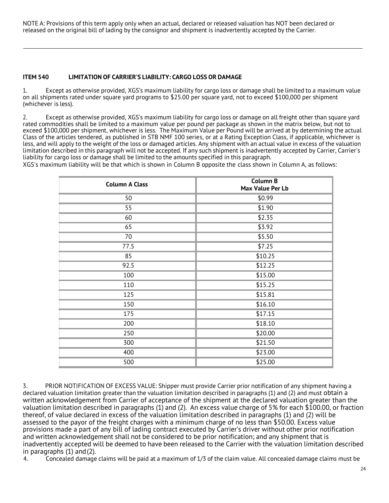NOTE A: Provisions of this term apply only when an actual, declared or released valuation has NOT been declared or released on the original bill of lading by the consignor and shipment is inadvertently accepted by the Carrier.

### <span id="page-23-0"></span>**ITEM 540 LIMITATION OF CARRIER'S LIABILITY: CARGO LOSS OR DAMAGE**

1. Except as otherwise provided, XGS's maximum liability for cargo loss or damage shall be limited to a maximum value on all shipments rated under square yard programs to \$25.00 per square yard, not to exceed \$100,000 per shipment (whichever is less).

2. Except as otherwise provided, XGS's maximum liability for cargo loss or damage on all freight other than square yard rated commodities shall be limited to a maximum value per pound per package as shown in the matrix below, but not to exceed \$100,000 per shipment, whichever is less. The Maximum Value per Pound will be arrived at by determining the actual Class of the articles tendered, as published in STB NMF 100 series, or at a Rating Exception Class, if applicable, whichever is less, and will apply to the weight of the loss or damaged articles. Any shipment with an actual value in excess of the valuation limitation described in this paragraph will not be accepted. If any such shipment is inadvertently accepted by Carrier, Carrier's liability for cargo loss or damage shall be limited to the amounts specified in this paragraph.

XGS's maximum liability will be that which is shown in Column B opposite the class shown in Column A, as follows:

| <b>Column A Class</b> | <b>Column B</b><br>Max Value Per Lb |
|-----------------------|-------------------------------------|
| 50                    | \$0.99                              |
| 55                    | \$1.90                              |
| 60                    | \$2.35                              |
| 65                    | \$3.92                              |
| 70                    | \$5.50                              |
| 77.5                  | \$7.25                              |
| 85                    | \$10.25                             |
| 92.5                  | \$12.25                             |
| 100                   | \$15.00                             |
| 110                   | \$15.25                             |
| 125                   | \$15.81                             |
| 150                   | \$16.10                             |
| 175                   | \$17.15                             |
| 200                   | \$18.10                             |
| 250                   | \$20.00                             |
| 300                   | \$21.50                             |
| 400                   | \$23.00                             |
| 500                   | \$25.00                             |

3. PRIOR NOTIFICATION OF EXCESS VALUE: Shipper must provide Carrier prior notification of any shipment having a declared valuation limitation greater than the valuation limitation described in paragraphs (1) and (2) and must obtain a written acknowledgement from Carrier of acceptance of the shipment at the declared valuation greater than the valuation limitation described in paragraphs (1) and (2). An excess value charge of 5% for each \$100.00, or fraction thereof, of value declared in excess of the valuation limitation described in paragraphs (1) and (2) will be assessed to the payor of the freight charges with a minimum charge of no less than \$50.00. Excess value provisions made a part of any bill of lading contract executed by Carrier's driver without other prior notification and written acknowledgement shall not be considered to be prior notification; and any shipment that is inadvertently accepted will be deemed to have been released to the Carrier with the valuation limitation described in paragraphs (1) and (2).<br>4. Concealed damage

4. Concealed damage claims will be paid at a maximum of 1/3 of the claim value. All concealed damage claims must be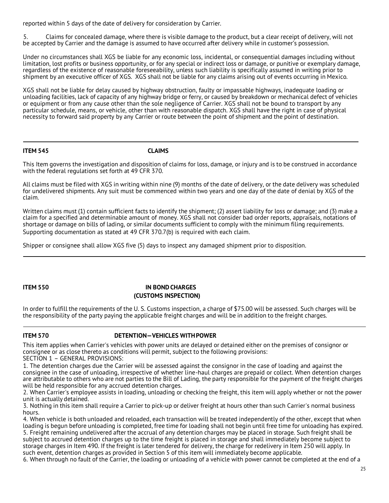reported within 5 days of the date of delivery for consideration by Carrier.

5. Claims for concealed damage, where there is visible damage to the product, but a clear receipt of delivery, will not be accepted by Carrier and the damage is assumed to have occurred after delivery while in customer's possession.

Under no circumstances shall XGS be liable for any economic loss, incidental, or consequential damages including without limitation, lost profits or business opportunity, or for any special or indirect loss or damage, or punitive or exemplary damage, regardless of the existence of reasonable foreseeability, unless such liability is specifically assumed in writing prior to shipment by an executive officer of XGS. XGS shall not be liable for any claims arising out of events occurring in Mexico.

XGS shall not be liable for delay caused by highway obstruction, faulty or impassable highways, inadequate loading or unloading facilities, lack of capacity of any highway bridge or ferry, or caused by breakdown or mechanical defect of vehicles or equipment or from any cause other than the sole negligence of Carrier. XGS shall not be bound to transport by any particular schedule, means, or vehicle, other than with reasonable dispatch. XGS shall have the right in case of physical necessity to forward said property by any Carrier or route between the point of shipment and the point of destination.

<span id="page-24-0"></span>**ITEM 545 CLAIMS**

This Item governs the investigation and disposition of claims for loss, damage, or injury and is to be construed in accordance with the federal regulations set forth at 49 CFR 370.

All claims must be filed with XGS in writing within nine (9) months of the date of delivery, or the date delivery was scheduled for undelivered shipments. Any suit must be commenced within two years and one day of the date of denial by XGS of the claim.

Written claims must (1) contain sufficient facts to identify the shipment; (2) assert liability for loss or damage; and (3) make a claim for a specified and determinable amount of money. XGS shall not consider bad order reports, appraisals, notations of shortage or damage on bills of lading, or similar documents sufficient to comply with the minimum filing requirements. Supporting documentation as stated at 49 CFR 370.7(b) is required with each claim.

Shipper or consignee shall allow XGS five (5) days to inspect any damaged shipment prior to disposition.

### <span id="page-24-2"></span>**ITEM 550 IN BONDCHARGES (CUSTOMS INSPECTION)**

In order to fulfill the requirements of the U. S. Customs inspection, a charge of \$75.00 will be assessed. Such charges will be the responsibility of the party paying the applicable freight charges and will be in addition to the freight charges.

### <span id="page-24-1"></span>**ITEM 570 DETENTION—VEHICLES WITHPOWER**

This item applies when Carrier's vehicles with power units are delayed or detained either on the premises of consignor or consignee or as close thereto as conditions will permit, subject to the following provisions:

SECTION 1 – GENERAL PROVISIONS:

1. The detention charges due the Carrier will be assessed against the consignor in the case of loading and against the consignee in the case of unloading, irrespective of whether line-haul charges are prepaid or collect. When detention charges are attributable to others who are not parties to the Bill of Lading, the party responsible for the payment of the freight charges will be held responsible for any accrued detention charges.

2. When Carrier's employee assists in loading, unloading or checking the freight, this item will apply whether or not the power unit is actually detained.

3. Nothing in this item shall require a Carrier to pick-up or deliver freight at hours other than such Carrier's normal business hours.

4. When vehicle is both unloaded and reloaded, each transaction will be treated independently of the other, except that when loading is begun before unloading is completed, free time for loading shall not begin until free time for unloading has expired. 5. Freight remaining undelivered after the accrual of any detention charges may be placed in storage. Such freight shall be subject to accrued detention charges up to the time freight is placed in storage and shall immediately become subject to storage charges in Item 490. If the freight is later tendered for delivery, the charge for redelivery in Item 250 will apply. In such event, detention charges as provided in Section 5 of this item will immediately become applicable.

6. When through no fault of the Carrier, the loading or unloading of a vehicle with power cannot be completed at the end of a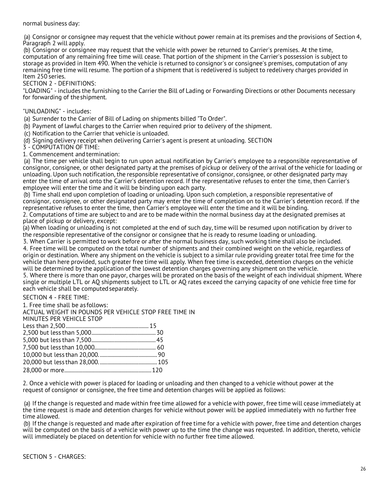normal business day:

(a) Consignor or consignee may request that the vehicle without power remain at its premises and the provisions of Section 4, Paragraph 2 will apply.

(b) Consignor or consignee may request that the vehicle with power be returned to Carrier's premises. At the time, computation of any remaining free time will cease. That portion of the shipment in the Carrier's possession is subject to storage as provided in Item 490. When the vehicle is returned to consignor's or consignee's premises, computation of any remaining free time will resume. The portion of a shipment that is redelivered is subject to redelivery charges provided in Item 250 series.

SECTION 2 - DEFINITIONS:

"LOADING" - includes the furnishing to the Carrier the Bill of Lading or Forwarding Directions or other Documents necessary for forwarding of theshipment.

"UNLOADING" - includes:

(a) Surrender to the Carrier of Bill of Lading on shipments billed "To Order".

- (b) Payment of lawful charges to the Carrier when required prior to delivery of the shipment.
- (c) Notification to the Carrier that vehicle is unloaded.
- (d) Signing delivery receipt when delivering Carrier's agent is present at unloading. SECTION

3 - COMPUTATION OF TIME:

1. Commencement and termination:

(a) The time per vehicle shall begin to run upon actual notification by Carrier's employee to a responsible representative of consignor, consignee, or other designated party at the premises of pickup or delivery of the arrival of the vehicle for loading or unloading. Upon such notification, the responsible representative of consignor, consignee, or other designated party may enter the time of arrival onto the Carrier's detention record. If the representative refuses to enter the time, then Carrier's employee will enter the time and it will be binding upon each party.

(b) Time shall end upon completion of loading or unloading. Upon such completion, a responsible representative of consignor, consignee, or other designated party may enter the time of completion on to the Carrier's detention record. If the representative refuses to enter the time, then Carrier's employee will enter the time and it will be binding.

2. Computations of time are subject to and are to be made within the normal business day at the designated premises at place of pickup or delivery, except:

(a) When loading or unloading is not completed at the end of such day, time will be resumed upon notification by driver to the responsible representative of the consignor or consignee that he is ready to resume loading or unloading.

3. When Carrier is permitted to work before or after the normal business day, such working time shall also be included. 4. Free time will be computed on the total number of shipments and their combined weight on the vehicle, regardless of

origin or destination. Where any shipment on the vehicle is subject to a similar rule providing greater total free time for the vehicle than here provided, such greater free time will apply. When free time is exceeded, detention charges on the vehicle will be determined by the application of the lowest detention charges governing any shipment on the vehicle.

5. Where there is more than one payor, charges will be prorated on the basis of the weight of each individual shipment. Where single or multiple LTL or AQ shipments subject to LTL or AQ rates exceed the carrying capacity of one vehicle free time for each vehicle shall be computed separately.

SECTION 4 - FREE TIME:

| 1. Free time shall be as follows:                     |  |
|-------------------------------------------------------|--|
| ACTUAL WEIGHT IN POUNDS PER VEHICLE STOP FREE TIME IN |  |
| MINUTES PER VEHICLE STOP                              |  |
|                                                       |  |
|                                                       |  |
|                                                       |  |
|                                                       |  |
|                                                       |  |
|                                                       |  |
|                                                       |  |

2. Once a vehicle with power is placed for loading or unloading and then changed to a vehicle without power at the request of consignor or consignee, the free time and detention charges will be applied as follows:

(a) If the change is requested and made within free time allowed for a vehicle with power, free time will cease immediately at the time request is made and detention charges for vehicle without power will be applied immediately with no further free time allowed.

(b) If the change is requested and made after expiration of free time for a vehicle with power, free time and detention charges will be computed on the basis of a vehicle with power up to the time the change was requested. In addition, thereto, vehicle will immediately be placed on detention for vehicle with no further free time allowed.

SECTION 5 - CHARGES: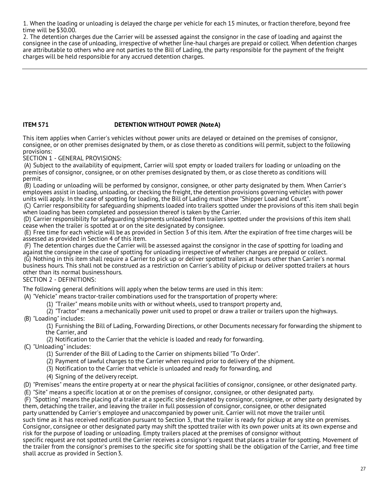1. When the loading or unloading is delayed the charge per vehicle for each 15 minutes, or fraction therefore, beyond free time will be \$30.00.

2. The detention charges due the Carrier will be assessed against the consignor in the case of loading and against the consignee in the case of unloading, irrespective of whether line-haul charges are prepaid or collect. When detention charges are attributable to others who are not parties to the Bill of Lading, the party responsible for the payment of the freight charges will be held responsible for any accrued detention charges.

### <span id="page-26-0"></span>**ITEM 571 DETENTION WITHOUT POWER (NoteA)**

This item applies when Carrier's vehicles without power units are delayed or detained on the premises of consignor, consignee, or on other premises designated by them, or as close thereto as conditions will permit, subject to the following provisions:

SECTION 1 - GENERAL PROVISIONS:

(A) Subject to the availability of equipment, Carrier will spot empty or loaded trailers for loading or unloading on the premises of consignor, consignee, or on other premises designated by them, or as close thereto as conditions will permit.

(B) Loading or unloading will be performed by consignor, consignee, or other party designated by them. When Carrier's employees assist in loading, unloading, or checking the freight, the detention provisions governing vehicles with power units will apply. In the case of spotting for loading, the Bill of Lading must show "Shipper Load and Count".

(C) Carrier responsibility for safeguarding shipments loaded into trailers spotted under the provisions of this item shall begin when loading has been completed and possession thereof is taken by the Carrier.

(D) Carrier responsibility for safeguarding shipments unloaded from trailers spotted under the provisions of this item shall cease when the trailer is spotted at or on the site designated by consignee.

(E) Free time for each vehicle will be as provided in Section 3 of this item. After the expiration of free time charges will be assessed as provided in Section 4 of this item.

(F) The detention charges due the Carrier will be assessed against the consignor in the case of spotting for loading and against the consignee in the case of spotting for unloading irrespective of whether charges are prepaid or collect. (G) Nothing in this item shall require a Carrier to pick up or deliver spotted trailers at hours other than Carrier's normal business hours. This shall not be construed as a restriction on Carrier's ability of pickup or deliver spotted trailers at hours other than its normal businesshours.

### SECTION 2 - DEFINITIONS:

The following general definitions will apply when the below terms are used in this item:

(A) "Vehicle" means tractor-trailer combinations used for the transportation of property where:

(1) "Trailer" means mobile units with or without wheels, used to transport property and,

(2) "Tractor" means a mechanically power unit used to propel or draw a trailer or trailers upon the highways.

(B) "Loading" includes:

(1) Furnishing the Bill of Lading, Forwarding Directions, or other Documents necessary for forwarding the shipment to the Carrier, and

(2) Notification to the Carrier that the vehicle is loaded and ready for forwarding.

(C) "Unloading" includes:

(1) Surrender of the Bill of Lading to the Carrier on shipments billed "To Order".

(2) Payment of lawful charges to the Carrier when required prior to delivery of the shipment.

(3) Notification to the Carrier that vehicle is unloaded and ready for forwarding, and

(4) Signing of the delivery receipt.

(D) "Premises" means the entire property at or near the physical facilities of consignor, consignee, or other designated party.

(E) "Site" means a specific location at or on the premises of consignor, consignee, or other designated party.

(F) "Spotting" means the placing of a trailer at a specific site designated by consignor, consignee, or other party designated by them, detaching the trailer, and leaving the trailer in full possession of consignor, consignee, or other designated party unattended by Carrier's employee and unaccompanied by power unit. Carrier will not move the trailer until such time as it has received notification pursuant to Section 3, that the trailer is ready for pickup at any site on premises. Consignor, consignee or other designated party may shift the spotted trailer with its own power units at its own expense and risk for the purpose of loading or unloading. Empty trailers placed at the premises of consignor without

specific request are not spotted until the Carrier receives a consignor's request that places a trailer for spotting. Movement of the trailer from the consignor's premises to the specific site for spotting shall be the obligation of the Carrier, and free time shall accrue as provided in Section3.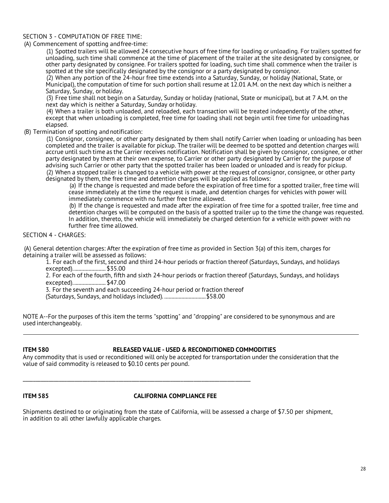### SECTION 3 - COMPUTATION OF FREE TIME:

(A) Commencement of spotting andfree-time:

(1) Spotted trailers will be allowed 24 consecutive hours of free time for loading or unloading. For trailers spotted for unloading, such time shall commence at the time of placement of the trailer at the site designated by consignee, or other party designated by consignee. For trailers spotted for loading, such time shall commence when the trailer is spotted at the site specifically designated by the consignor or a party designated by consignor.

(2) When any portion of the 24-hour free time extends into a Saturday, Sunday, or holiday (National, State, or Municipal), the computation of time for such portion shall resume at 12.01 A.M. on the next day which is neither a Saturday, Sunday, or holiday.

(3) Free time shall not begin on a Saturday, Sunday or holiday (national, State or municipal), but at 7 A.M. on the next day which is neither a Saturday, Sunday or holiday.

(4) When a trailer is both unloaded, and reloaded, each transaction will be treated independently of the other, except that when unloading is completed, free time for loading shall not begin until free time for unloading has elapsed.

(B) Termination of spotting andnotification:

(1) Consignor, consignee, or other party designated by them shall notify Carrier when loading or unloading has been completed and the trailer is available for pickup. The trailer will be deemed to be spotted and detention charges will accrue until such time as the Carrier receives notification. Notification shall be given by consignor, consignee, or other party designated by them at their own expense, to Carrier or other party designated by Carrier for the purpose of advising such Carrier or other party that the spotted trailer has been loaded or unloaded and is ready for pickup. (2) When a stopped trailer is changed to a vehicle with power at the request of consignor, consignee, or other party designated by them, the free time and detention charges will be applied as follows:

(a) If the change is requested and made before the expiration of free time for a spotted trailer, free time will cease immediately at the time the request is made, and detention charges for vehicles with power will immediately commence with no further free time allowed.

(b) If the change is requested and made after the expiration of free time for a spotted trailer, free time and detention charges will be computed on the basis of a spotted trailer up to the time the change was requested. In addition, thereto, the vehicle will immediately be charged detention for a vehicle with power with no further free time allowed.

### SECTION 4 - CHARGES:

(A) General detention charges: After the expiration of free time as provided in Section 3(a) of this item, charges for detaining a trailer will be assessed as follows:

1. For each of the first, second and third 24-hour periods or fraction thereof (Saturdays, Sundays, and holidays excepted)....................... \$35.00

2. For each of the fourth, fifth and sixth 24-hour periods or fraction thereof (Saturdays, Sundays, and holidays excepted)....................... \$47.00

3. For the seventh and each succeeding 24-hour period or fraction thereof

(Saturdays, Sundays, and holidays included). .............................\$58.00

NOTE A--For the purposes of this item the terms "spotting" and "dropping" are considered to be synonymous and are used interchangeably.

### <span id="page-27-1"></span>**ITEM 580 RELEASED VALUE - USED & RECONDITIONED COMMODITIES**

Any commodity that is used or reconditioned will only be accepted for transportation under the consideration that the value of said commodity is released to \$0.10 cents per pound.

### <span id="page-27-0"></span>**ITEM 585 CALIFORNIA COMPLIANCE FEE**

Shipments destined to or originating from the state of California, will be assessed a charge of \$7.50 per shipment, in addition to all other lawfully applicable charges.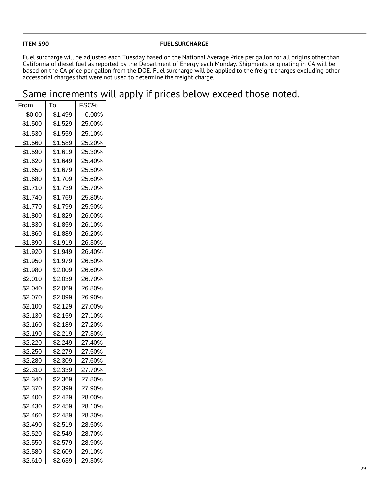### <span id="page-28-0"></span>**ITEM 590 FUEL SURCHARGE**

Fuel surcharge will be adjusted each Tuesday based on the National Average Price per gallon for all origins other than California of diesel fuel as reported by the Department of Energy each Monday. Shipments originating in CA will be based on the CA price per gallon from the DOE. Fuel surcharge will be applied to the freight charges excluding other accessorial charges that were not used to determine the freight charge.

## Same increments will apply if prices below exceed those noted.

| From    | To      | FSC%     |
|---------|---------|----------|
| \$0.00  | \$1.499 | $0.00\%$ |
| \$1.500 | \$1.529 | 25.00%   |
| \$1.530 | \$1.559 | 25.10%   |
| \$1.560 | \$1.589 | 25.20%   |
| \$1.590 | \$1.619 | 25.30%   |
| \$1.620 | \$1.649 | 25.40%   |
| \$1.650 | \$1.679 | 25.50%   |
| \$1.680 | \$1.709 | 25.60%   |
| \$1.710 | \$1.739 | 25.70%   |
| \$1.740 | \$1.769 | 25.80%   |
| \$1.770 | \$1.799 | 25.90%   |
| \$1.800 | \$1.829 | 26.00%   |
| \$1.830 | \$1.859 | 26.10%   |
| \$1.860 | \$1.889 | 26.20%   |
| \$1.890 | \$1.919 | 26.30%   |
| \$1.920 | \$1.949 | 26.40%   |
| \$1.950 | \$1.979 | 26.50%   |
| \$1.980 | \$2.009 | 26.60%   |
| \$2.010 | \$2.039 | 26.70%   |
| \$2.040 | \$2.069 | 26.80%   |
| \$2.070 | \$2.099 | 26.90%   |
| \$2.100 | \$2.129 | 27.00%   |
| \$2.130 | \$2.159 | 27.10%   |
| \$2.160 | \$2.189 | 27.20%   |
| \$2.190 | \$2.219 | 27.30%   |
| \$2.220 | \$2.249 | 27.40%   |
| \$2.250 | \$2.279 | 27.50%   |
| \$2.280 | \$2.309 | 27.60%   |
| \$2.310 | \$2.339 | 27.70%   |
| \$2.340 | \$2.369 | 27.80%   |
| \$2.370 | \$2.399 | 27.90%   |
| \$2.400 | \$2.429 | 28.00%   |
| \$2.430 | \$2.459 | 28.10%   |
| \$2.460 | \$2.489 | 28.30%   |
| \$2.490 | \$2.519 | 28.50%   |
| \$2.520 | \$2.549 | 28.70%   |
| \$2.550 | \$2.579 | 28.90%   |
| \$2.580 | \$2.609 | 29.10%   |
| \$2.610 | \$2.639 | 29.30%   |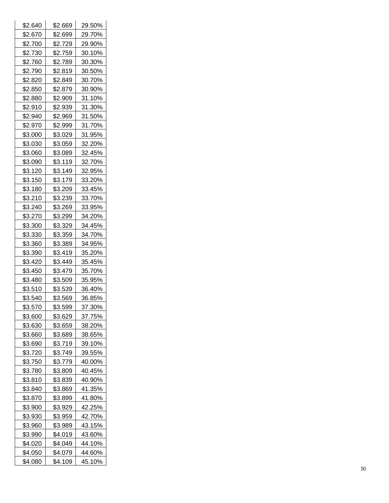| \$2.640            | \$2.669 | 29.50% |
|--------------------|---------|--------|
| \$2.670            | \$2.699 | 29.70% |
| \$2.700            | \$2.729 | 29.90% |
| \$2.730            | \$2.759 | 30.10% |
| \$2.760            | \$2.789 | 30.30% |
| \$2.790            | \$2.819 | 30.50% |
| \$2.820            | \$2.849 | 30.70% |
| \$2.850            | \$2.879 | 30.90% |
| \$2.880            | \$2.909 | 31.10% |
| \$2.910            | \$2.939 | 31.30% |
| \$2.940            | \$2.969 | 31.50% |
| \$2.970            | \$2.999 | 31.70% |
| \$3.000            | \$3.029 | 31.95% |
| \$3.030            | \$3.059 | 32.20% |
| \$3.060            | \$3.089 | 32.45% |
| \$3.090            | \$3.119 | 32.70% |
| \$3.120            | \$3.149 | 32.95% |
| \$3.150            | \$3.179 | 33.20% |
|                    | \$3.209 |        |
| \$3.180<br>\$3.210 | \$3.239 | 33.45% |
|                    |         | 33.70% |
| \$3.240            | \$3.269 | 33.95% |
| \$3.270            | \$3.299 | 34.20% |
| \$3.300            | \$3.329 | 34.45% |
| \$3.330            | \$3.359 | 34.70% |
| \$3.360            | \$3.389 | 34.95% |
| \$3.390            | \$3.419 | 35.20% |
| \$3.420            | \$3.449 | 35.45% |
| \$3.450            | \$3.479 | 35.70% |
| \$3.480            | \$3.509 | 35.95% |
| \$3.510            | \$3.539 | 36.40% |
| \$3.540            | \$3.569 | 36.85% |
| \$3.570            | \$3.599 | 37.30% |
| \$3.600            | \$3.629 | 37.75% |
| \$3.630            | \$3.659 | 38.20% |
| \$3.660            | \$3.689 | 38.65% |
| \$3.690            | \$3.719 | 39.10% |
| \$3.720            | \$3.749 | 39.55% |
| \$3.750            | \$3.779 | 40.00% |
| \$3.780            | \$3.809 | 40.45% |
| \$3.810            | \$3.839 | 40.90% |
| \$3.840            | \$3.869 | 41.35% |
| \$3.870            | \$3.899 | 41.80% |
| \$3.900            | \$3.929 | 42.25% |
| \$3.930            | \$3.959 | 42.70% |
| \$3.960            | \$3.989 | 43.15% |
| \$3.990            | \$4.019 |        |
|                    |         | 43.60% |
| \$4.020            | \$4.049 | 44.10% |
| \$4.050            | \$4.079 | 44.60% |
| \$4.080            | \$4.109 | 45.10% |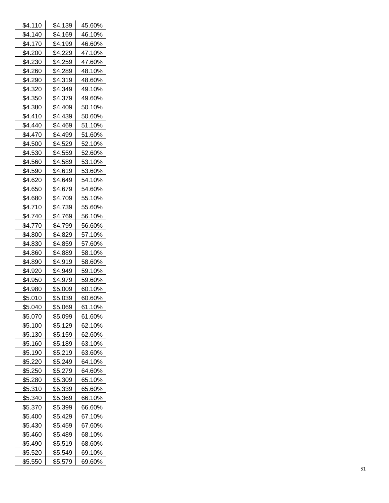| \$4.110 | \$4.139 | 45.60% |
|---------|---------|--------|
| \$4.140 | \$4.169 | 46.10% |
| \$4.170 | \$4.199 | 46.60% |
| \$4.200 | \$4.229 | 47.10% |
| \$4.230 | \$4.259 | 47.60% |
| \$4.260 | \$4.289 | 48.10% |
| \$4.290 | \$4.319 | 48.60% |
| \$4.320 | \$4.349 | 49.10% |
| \$4.350 | \$4.379 | 49.60% |
| \$4.380 | \$4.409 | 50.10% |
| \$4.410 | \$4.439 | 50.60% |
| \$4.440 | \$4.469 | 51.10% |
| \$4.470 | \$4.499 | 51.60% |
| \$4.500 | \$4.529 | 52.10% |
| \$4.530 | \$4.559 | 52.60% |
| \$4.560 | \$4.589 | 53.10% |
| \$4.590 | \$4.619 | 53.60% |
| \$4.620 | \$4.649 | 54.10% |
| \$4.650 | \$4.679 | 54.60% |
|         | \$4.709 |        |
| \$4.680 |         | 55.10% |
| \$4.710 | \$4.739 | 55.60% |
| \$4.740 | \$4.769 | 56.10% |
| \$4.770 | \$4.799 | 56.60% |
| \$4.800 | \$4.829 | 57.10% |
| \$4.830 | \$4.859 | 57.60% |
| \$4.860 | \$4.889 | 58.10% |
| \$4.890 | \$4.919 | 58.60% |
| \$4.920 | \$4.949 | 59.10% |
| \$4.950 | \$4.979 | 59.60% |
| \$4.980 | \$5.009 | 60.10% |
| \$5.010 | \$5.039 | 60.60% |
| \$5.040 | \$5.069 | 61.10% |
| \$5.070 | \$5.099 | 61.60% |
| \$5.100 | \$5.129 | 62.10% |
| \$5.130 | \$5.159 | 62.60% |
| \$5.160 | \$5.189 | 63.10% |
| \$5.190 | \$5.219 | 63.60% |
| \$5.220 | \$5.249 | 64.10% |
| \$5.250 | \$5.279 | 64.60% |
| \$5.280 | \$5.309 | 65.10% |
| \$5.310 | \$5.339 | 65.60% |
| \$5.340 | \$5.369 | 66.10% |
| \$5.370 | \$5.399 | 66.60% |
| \$5.400 | \$5.429 | 67.10% |
| \$5.430 | \$5.459 | 67.60% |
| \$5.460 | \$5.489 | 68.10% |
|         |         |        |
| \$5.490 | \$5.519 | 68.60% |
| \$5.520 | \$5.549 | 69.10% |
| \$5.550 | \$5.579 | 69.60% |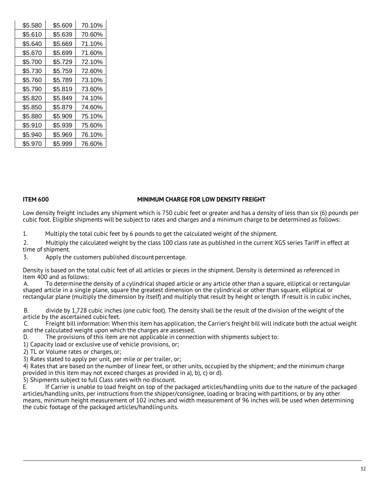| \$5.580 | \$5.609 | 70.10% |
|---------|---------|--------|
| \$5.610 | \$5.639 | 70.60% |
| \$5.640 | \$5.669 | 71.10% |
| \$5.670 | \$5.699 | 71.60% |
| \$5.700 | \$5.729 | 72.10% |
| \$5.730 | \$5.759 | 72.60% |
| \$5.760 | \$5.789 | 73.10% |
| \$5.790 | \$5.819 | 73.60% |
| \$5.820 | \$5.849 | 74.10% |
| \$5.850 | \$5.879 | 74.60% |
| \$5.880 | \$5.909 | 75.10% |
| \$5.910 | \$5.939 | 75.60% |
| \$5.940 | \$5.969 | 76.10% |
| \$5.970 | \$5.999 | 76.60% |

### <span id="page-31-0"></span>**ITEM 600 MINIMUM CHARGE FOR LOW DENSITY FREIGHT**

Low density freight includes any shipment which is 750 cubic feet or greater and has a density of less than six (6) pounds per cubic foot. Eligible shipments will be subject to rates and charges and a minimum charge to be determined as follows:

1. Multiply the total cubic feet by 6 pounds to get the calculated weight of the shipment.

2. Multiply the calculated weight by the class 100 class rate as published in the current XGS series Tariff in effect at time of shipment.

3. Apply the customers published discountpercentage.

Density is based on the total cubic feet of all articles or pieces in the shipment. Density is determined as referenced in Item 400 and as follows:

A. To determine the density of a cylindrical shaped article or any article other than a square, elliptical or rectangular shaped article in a single plane, square the greatest dimension on the cylindrical or other than square, elliptical or rectangular plane (multiply the dimension by itself) and multiply that result by height or length. If result is in cubic inches,

B. divide by 1,728 cubic inches (one cubic foot). The density shall be the result of the division of the weight of the article by the ascertained cubic feet.<br>C. Freight bill information: When

Freight bill information: When this item has application, the Carrier's freight bill will indicate both the actual weight and the calculated weight upon which the charges are assessed.

D. The provisions of this item are not applicable in connection with shipments subject to:

1) Capacity load or exclusive use of vehicle provisions, or;

2) TL or Volume rates or charges,or;

3) Rates stated to apply per unit, per mile or per trailer, or;

4) Rates that are based on the number of linear feet, or other units, occupied by the shipment; and the minimum charge provided in this item may not exceed charges as provided in a), b), c) or d).

5) Shipments subject to full Class rates with no discount.

E. If Carrier is unable to load freight on top of the packaged articles/handling units due to the nature of the packaged articles/handling units, per instructions from the shipper/consignee, loading or bracing with partitions, or by any other means, minimum height measurement of 102 inches and width measurement of 96 inches will be used when determining the cubic footage of the packaged articles/handlingunits.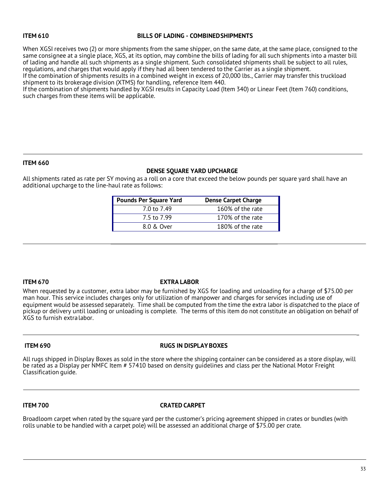### <span id="page-32-0"></span>**ITEM 610 BILLS OF LADING - COMBINEDSHIPMENTS**

When XGSI receives two (2) or more shipments from the same shipper, on the same date, at the same place, consigned to the same consignee at a single place, XGS, at its option, may combine the bills of lading for all such shipments into a master bill of lading and handle all such shipments as a single shipment. Such consolidated shipments shall be subject to all rules, regulations, and charges that would apply if they had all been tendered to the Carrier as a single shipment. If the combination of shipments results in a combined weight in excess of 20,000 lbs., Carrier may transfer this truckload

shipment to its brokerage division (XTMS) for handling, reference Item 440.

If the combination of shipments handled by XGSI results in Capacity Load (Item 340) or Linear Feet (Item 760) conditions, such charges from these items will be applicable.

### <span id="page-32-2"></span>**ITEM 660**

### **DENSE SQUARE YARD UPCHARGE**

All shipments rated as rate per SY moving as a roll on a core that exceed the below pounds per square yard shall have an additional upcharge to the line-haul rate as follows:

| Pounds Per Square Yard | <b>Dense Carpet Charge</b> |
|------------------------|----------------------------|
| 7.0 to 7.49            | 160% of the rate           |
| 7.5 to 7.99            | 170% of the rate           |
| 8.0 & Over             | 180% of the rate           |

### <span id="page-32-4"></span>**ITEM 670 EXTRA LABOR**

When requested by a customer, extra labor may be furnished by XGS for loading and unloading for a charge of \$75.00 per man hour. This service includes charges only for utilization of manpower and charges for services including use of equipment would be assessed separately. Time shall be computed from the time the extra labor is dispatched to the place of pickup or delivery until loading or unloading is complete. The terms of this item do not constitute an obligation on behalf of XGS to furnish extralabor.

### <span id="page-32-3"></span>**ITEM 690 RUGS IN DISPLAYBOXES**

All rugs shipped in Display Boxes as sold in the store where the shipping container can be considered as a store display, will be rated as a Display per NMFC Item # 57410 based on density guidelines and class per the National Motor Freight Classification guide.

### <span id="page-32-1"></span>**ITEM 700 CRATED CARPET**

Broadloom carpet when rated by the square yard per the customer's pricing agreement shipped in crates or bundles (with rolls unable to be handled with a carpet pole) will be assessed an additional charge of \$75.00 per crate.

\_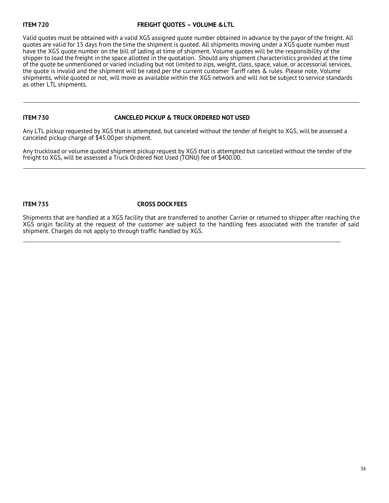### <span id="page-33-2"></span>**ITEM 720 FREIGHT OUOTES - VOLUME & LTL**

Valid quotes must be obtained with a valid XGS assigned quote number obtained in advance by the payor of the freight. All quotes are valid for 15 days from the time the shipment is quoted. All shipments moving under a XGS quote number must have the XGS quote number on the bill of lading at time of shipment. Volume quotes will be the responsibility of the shipper to load the freight in the space allotted in the quotation. Should any shipment characteristics provided at the time of the quote be unmentioned or varied including but not limited to zips, weight, class, space, value, or accessorial services, the quote is invalid and the shipment will be rated per the current customer Tariff rates & rules. Please note, Volume shipments, while quoted or not, will move as available within the XGS network and will not be subject to service standards as other LTL shipments.

### <span id="page-33-0"></span>**ITEM 730 CANCELED PICKUP & TRUCK ORDERED NOT USED**

Any LTL pickup requested by XGS that is attempted, but canceled without the tender of freight to XGS, will be assessed a canceled pickup charge of \$45.00per shipment.

Any truckload or volume quoted shipment pickup request by XGS that is attempted but cancelled without the tender of the freight to XGS, will be assessed a Truck Ordered Not Used (TONU) fee of \$400.00.

### <span id="page-33-1"></span>**ITEM 735 CROSS DOCK FEES**

Shipments that are handled at a XGS facility that are transferred to another Carrier or returned to shipper after reaching the XGS origin facility at the request of the customer are subject to the handling fees associated with the transfer of said shipment. Charges do not apply to through traffic handled by XGS.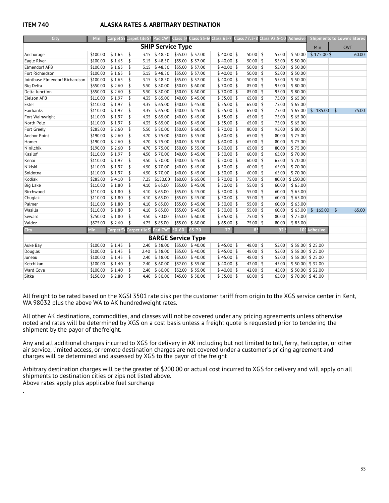.

### <span id="page-34-0"></span>**ITEM 740 ALASKA RATES & ARBITRARY DESTINATION**

| City                           | Min      | Carpet SY | Carpet tile SY Pad CWT |                      |           | Class 5 (Class 55-6)    | Class 65-7  | <b>Class 77.5-8</b> | Class 92.5-10       | <b>Adhesive</b> | <b>Shipments to Lowe's Stores</b> |            |       |
|--------------------------------|----------|-----------|------------------------|----------------------|-----------|-------------------------|-------------|---------------------|---------------------|-----------------|-----------------------------------|------------|-------|
| <b>SHIP Service Type</b>       |          |           |                        |                      |           |                         | Min         |                     | <b>CWT</b>          |                 |                                   |            |       |
| Anchorage                      | \$100.00 | \$1.65    | \$<br>3.15             | \$48.50              |           | \$35.00 \$37.00         | $$40.00$ \$ | $50.00$ \$          | 55.00               | \$50.00         | $$175.00$ \$                      |            | 60.00 |
| Eagle River                    | \$100.00 | \$1.65    | \$<br>3.15             | \$48.50              |           | \$35.00 \$37.00         | $$40.00$ \$ | 50.00               | $\sqrt{2}$<br>55.00 | \$50.00         |                                   |            |       |
| Elmendorf AFB                  | \$100.00 | \$1.65    | \$<br>3.15             | \$48.50              |           | \$35.00 \$37.00         | $$40.00$ \$ | 50.00               | \$<br>55.00         | \$50.00         |                                   |            |       |
| Fort Richardson                | \$100.00 | \$1.65    | \$<br>3.15             | \$48.50              |           | \$35.00 \$37.00         | $$40.00$ \$ | $50.00$ \$          | 55.00               | \$50.00         |                                   |            |       |
| Jointbase Elmendorf Richardson | \$100.00 | \$1.65    | \$<br>3.15             | \$48.50              |           | \$35.00 \$37.00         | $$40.00$ \$ | $50.00$ \$          | 55.00               | \$50.00         |                                   |            |       |
| <b>Big Delta</b>               | \$350.00 | \$2.60    | \$<br>5.50             | \$80.00              | \$50.00   | \$60.00                 | $$70.00$ \$ | 85.00               | \$<br>95.00         | \$80.00         |                                   |            |       |
| Delta Junction                 | \$350.00 | \$2.60    | \$<br>5.50             | \$80.00              | \$50.00   | \$60.00                 | $$70.00$ \$ | $85.00$ \$          | 95.00               | \$80.00         |                                   |            |       |
| Eielson AFB                    | \$110.00 | \$1.97    | \$<br>4.35             | \$65.00              |           | $$40.00 \; \$45.00$     | $$55.00$ \$ | $65.00$ \$          | 75.00               | \$65.00         |                                   |            |       |
| Ester                          | \$110.00 | \$1.97    | \$<br>4.35             | \$65.00              |           | $$40.00 \;   \; $45.00$ | $$55.00$ \$ | $65.00$ \$          | 75.00               | \$65.00         |                                   |            |       |
| Fairbanks                      | \$110.00 | \$1.97    | \$<br>4.35             | \$65.00              |           | $$40.00 \; \$45.00$     | $$55.00$ \$ | $65.00$ \$          | 75.00               | \$65.00         | \$185.00                          | \$         | 75.00 |
| Fort Wainwright                | \$110.00 | \$1.97    | \$<br>4.35             | \$65.00              |           | $$40.00 \; \$45.00$     | $$55.00$ \$ | $65.00$ \$          | 75.00               | \$65.00         |                                   |            |       |
| North Pole                     | \$110.00 | \$1.97    | \$<br>4.35             | \$65.00              |           | $$40.00 \;   \; $45.00$ | $$55.00$ \$ | $65.00$ \$          | 75.00               | \$65.00         |                                   |            |       |
| Fort Greely                    | \$285.00 | \$2.60    | \$<br>5.50             | \$80.00              |           | \$50.00 \$60.00         | $$70.00$ \$ | $80.00$ \$          | 95.00               | \$80.00         |                                   |            |       |
| Anchor Point                   | \$190.00 | \$2.60    | \$<br>4.70             | \$75.00              |           | $$50.00 \& 55.00$       | $$60.00$ \$ | $65.00$ \$          | 80.00               | \$75.00         |                                   |            |       |
| Homer                          | \$190.00 | \$2.60    | \$<br>4.70             | \$75.00              |           | $$50.00 \mid $55.00$    | $$60.00$ \$ | $65.00$ \$          | 80.00               | \$75.00         |                                   |            |       |
| Ninilchik                      | \$190.00 | \$2.60    | \$                     | 4.70 \$75.00         |           | $$50.00 \mid $55.00$    | $$60.00$ \$ | $65.00$ \$          | 80.00               | \$75.00         |                                   |            |       |
| Kasilof                        | \$110.00 | \$1.97    | \$<br>4.50             | \$70.00              |           | $$40.00 \; \$45.00$     | $$50.00$ \$ | 60.00               | \$<br>65.00         | \$70.00         |                                   |            |       |
| Kenai                          | \$110.00 | \$1.97    | \$<br>4.50             | \$70.00              |           | $$40.00 \& 45.00$       | $$50.00$ \$ | 60.00               | \$<br>65.00         | \$70.00         |                                   |            |       |
| Nikiski                        | \$110.00 | \$1.97    | \$<br>4.50             | \$70.00              |           | $$40.00 \; \$45.00$     | $$50.00$ \$ | 60.00               | \$<br>65.00         | \$70.00         |                                   |            |       |
| Soldotna                       | \$110.00 | \$1.97    | \$<br>4.50             | \$70.00              |           | $$40.00 \; \$45.00$     | $$50.00$ \$ | $60.00$ \$          | 65.00               | \$70.00         |                                   |            |       |
| Kodiak                         | \$285.00 | \$4.10    | \$<br>7.25             | \$150.00             |           | $$60.00 \$65.00$        | $$70.00$ \$ | 75.00               | $\sqrt{2}$<br>80.00 | \$150.00        |                                   |            |       |
| <b>Big Lake</b>                | \$110.00 | \$1.80    | \$<br>4.10             | \$65.00              |           | $$35.00 \; $45.00$      | $$50.00$ \$ | 55.00               | \$<br>60.00         | \$65.00         |                                   |            |       |
| Birchwood                      | \$110.00 | \$1.80    | \$<br>4.10             | \$65.00              |           | $$35.00 \; $45.00$      | $$50.00$ \$ | $55.00$ \$          | 60.00               | \$65.00         |                                   |            |       |
| Chugiak                        | \$110.00 | \$1.80    | \$<br>4.10             | \$65.00              |           | $$35.00$ \$45.00        | $$50.00$ \$ | $55.00$ \$          | 60.00               | \$65.00         |                                   |            |       |
| Palmer                         | \$110.00 | \$1.80    | \$<br>4.10             | \$65.00              |           | $$35.00 \; $45.00$      | $$50.00$ \$ | $55.00$ \$          | 60.00               | \$65.00         |                                   |            |       |
| Wasilla                        | \$110.00 | \$1.80    | \$<br>4.10             | \$65.00              |           | $$35.00 \; $45.00$      | $$50.00$ \$ | $55.00$ \$          | 60.00               | \$65.00         | \$165.00                          | $\sqrt{2}$ | 65.00 |
| Seward                         | \$250.00 | \$1.80    | \$                     | 4.50 \$70.00         |           | $$55.00 \; $60.00$      | $$65.00$ \$ | $75.00$ \$          | 80.00               | \$75.00         |                                   |            |       |
| Valdez                         | \$375.00 | \$2.60    | \$                     | $4.75$ \$85.00       |           | $$55.00$ \$60.00        | $$65.00$ \$ | $75.00$ \$          | 80.00               | \$85.00         |                                   |            |       |
| City                           | Min      | Carpet SY | Carpet tile SY Pad CWT |                      | $50 - 60$ | $65 - 70$               | 77.         | 85                  | 92.5                |                 | 100 Adhesive                      |            |       |
| <b>BARGE Service Type</b>      |          |           |                        |                      |           |                         |             |                     |                     |                 |                                   |            |       |
| Auke Bay                       | \$100.00 | \$1.45    | \$<br>2.40             | \$38.00              |           | \$35.00 \$40.00         | $$45.00$ \$ | $48.00$ \$          | 55.00               |                 | $$58.00 \mid $25.00$              |            |       |
| Douglas                        | \$100.00 | \$1.45    | \$<br>2.40             | \$38.00              |           | $$35.00$ \$40.00        | $$45.00$ \$ | $48.00$ \$          | 55.00               |                 | $$58.00 \mid $25.00$              |            |       |
| Juneau                         | \$100.00 | \$1.45    | \$<br>2.40             | \$38.00              |           | $$35.00 \; $40.00$      | $$45.00$ \$ | $48.00$ \$          | 55.00               |                 | $$58.00 \mid $25.00$              |            |       |
| Ketchikan                      | \$100.00 | \$1.40    | \$<br>2.40             | \$60.00              |           | \$32.00 \$35.00         | $$40.00$ \$ | $42.00$ \$          | 45.00               |                 | $$50.00 \ $ \$ 32.00              |            |       |
| <b>Ward Cove</b>               | \$100.00 | \$1.40    | \$<br>2.40             | \$60.00              |           | \$32.00 \$35.00         | $$40.00$ \$ | $42.00$ \$          | 45.00               |                 | $$50.00 \mid $32.00$              |            |       |
| Sitka                          | \$150.00 | \$2.80    | \$                     | $4.40 \mid$ \$ 80.00 |           | $$45.00 \; $50.00$      | $$55.00$ \$ | $60.00$ \$          | 65.00               |                 | $$70.00 \mid $45.00$              |            |       |

All freight to be rated based on the XGSI 3501 rate disk per the customer tariff from origin to the XGS service center in Kent, WA 98032 plus the above WA to AK hundredweight rates.

All other AK destinations, commodities, and classes will not be covered under any pricing agreements unless otherwise noted and rates will be determined by XGS on a cost basis unless a freight quote is requested prior to tendering the shipment by the payor of thefreight.

Any and all additional charges incurred to XGS for delivery in AK including but not limited to toll, ferry, helicopter, or other air service, limited access, or remote destination charges are not covered under a customer's pricing agreement and charges will be determined and assessed by XGS to the payor of the freight

Arbitrary destination charges will be the greater of \$200.00 or actual cost incurred to XGS for delivery and will apply on all shipments to destination cities or zips not listed above. Above rates apply plus applicable fuel surcharge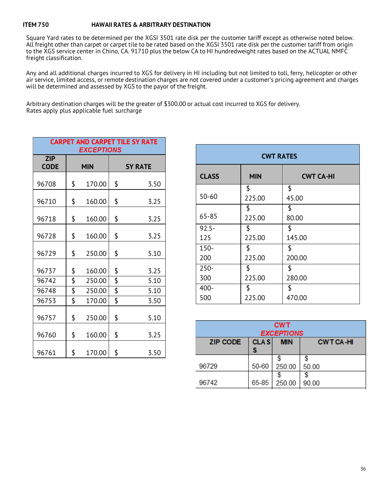### <span id="page-35-0"></span>**ITEM 750 HAWAII RATES & ARBITRARY DESTINATION**

Square Yard rates to be determined per the XGSI 3501 rate disk per the customer tariff except as otherwise noted below. All freight other than carpet or carpet tile to be rated based on the XGSI 3501 rate disk per the customer tariff from origin to the XGS service center in Chino, CA. 91710 plus the below CA to HI hundredweight rates based on the ACTUAL NMFC freight classification.

Any and all additional charges incurred to XGS for delivery in HI including but not limited to toll, ferry, helicopter or other air service, limited access, or remote destination charges are not covered under a customer's pricing agreement and charges will be determined and assessed by XGS to the payor of the freight.

Arbitrary destination charges will be the greater of \$300.00 or actual cost incurred to XGS for delivery. Rates apply plus applicable fuel surcharge

| <b>CARPET AND CARPET TILE SY RATE</b><br><b>EXCEPTIONS</b> |    |            |    |                |  |  |  |
|------------------------------------------------------------|----|------------|----|----------------|--|--|--|
| <b>ZIP</b><br><b>CODE</b>                                  |    | <b>MIN</b> |    | <b>SY RATE</b> |  |  |  |
| 96708                                                      | \$ | 170.00     | \$ | 3.50           |  |  |  |
| 96710                                                      | \$ | 160.00     | \$ | 3.25           |  |  |  |
| 96718                                                      | \$ | 160.00     | \$ | 3.25           |  |  |  |
| 96728                                                      | \$ | 160.00     | \$ | 3.25           |  |  |  |
| 96729                                                      | \$ | 250.00     | \$ | 5.10           |  |  |  |
| 96737                                                      | \$ | 160.00     | \$ | 3.25           |  |  |  |
| 96742                                                      | \$ | 250.00     | \$ | 5.10           |  |  |  |
| 96748                                                      | \$ | 250.00     | \$ | 5.10           |  |  |  |
| 96753                                                      | \$ | 170.00     | \$ | 3.50           |  |  |  |
| 96757                                                      | \$ | 250.00     | \$ | 5.10           |  |  |  |
| 96760                                                      | \$ | 160.00     | \$ | 3.25           |  |  |  |
| 96761                                                      | \$ | 170.00     | \$ | 3.50           |  |  |  |

| <b>CWT RATES</b> |              |                  |  |  |  |  |  |
|------------------|--------------|------------------|--|--|--|--|--|
| <b>CLASS</b>     | <b>MIN</b>   | <b>CWT CA-HI</b> |  |  |  |  |  |
| $50 - 60$        | \$<br>225.00 | \$<br>45.00      |  |  |  |  |  |
| 65-85            | \$<br>225.00 | \$<br>80.00      |  |  |  |  |  |
| $92.5 -$         | \$           | \$               |  |  |  |  |  |
| 125              | 225.00       | 145.00           |  |  |  |  |  |
| 150-             | \$           | \$               |  |  |  |  |  |
| 200              | 225.00       | 200.00           |  |  |  |  |  |
| $250 -$          | \$           | \$               |  |  |  |  |  |
| 300              | 225.00       | 280.00           |  |  |  |  |  |
| $400 -$          | \$           | \$               |  |  |  |  |  |
| 500              | 225.00       | 470.00           |  |  |  |  |  |

| <b>CWT</b><br><b>EXCEPTIONS</b>                                      |       |        |       |  |  |  |  |
|----------------------------------------------------------------------|-------|--------|-------|--|--|--|--|
| <b>CLAS</b><br><b>MIN</b><br><b>ZIP CODE</b><br><b>CWTCA-HI</b><br>s |       |        |       |  |  |  |  |
| 96729                                                                | 50-60 | 250.00 | 50.00 |  |  |  |  |
| 96742                                                                | 65-85 | 250.00 | 90.00 |  |  |  |  |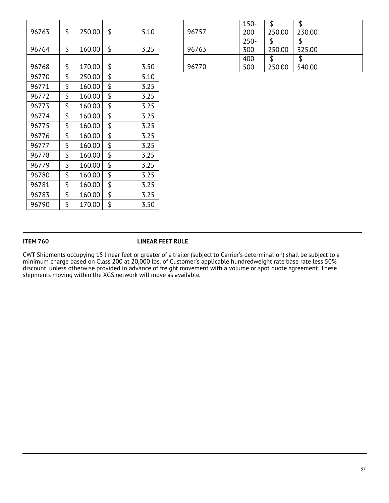| 96763 | \$<br>250.00 | \$<br>5.10 |
|-------|--------------|------------|
| 96764 | \$<br>160.00 | \$<br>3.25 |
|       |              |            |
| 96768 | \$<br>170.00 | \$<br>3.50 |
| 96770 | \$<br>250.00 | \$<br>5.10 |
| 96771 | \$<br>160.00 | \$<br>3.25 |
| 96772 | \$<br>160.00 | \$<br>3.25 |
| 96773 | \$<br>160.00 | \$<br>3.25 |
| 96774 | \$<br>160.00 | \$<br>3.25 |
| 96775 | \$<br>160.00 | \$<br>3.25 |
| 96776 | \$<br>160.00 | \$<br>3.25 |
| 96777 | \$<br>160.00 | \$<br>3.25 |
| 96778 | \$<br>160.00 | \$<br>3.25 |
| 96779 | \$<br>160.00 | \$<br>3.25 |
| 96780 | \$<br>160.00 | \$<br>3.25 |
| 96781 | \$<br>160.00 | \$<br>3.25 |
| 96783 | \$<br>160.00 | \$<br>3.25 |
| 96790 | \$<br>170.00 | \$<br>3.50 |

|       | 150-    |        |        |
|-------|---------|--------|--------|
| 96757 | 200     | 250.00 | 230.00 |
|       | $250 -$ |        |        |
| 96763 | 300     | 250.00 | 325.00 |
|       | $400 -$ |        |        |
| 96770 | 500     | 250.00 | 540.00 |

### <span id="page-36-0"></span>**ITEM 760 LINEAR FEET RULE**

CWT Shipments occupying 15 linear feet or greater of a trailer (subject to Carrier's determination) shall be subject to a minimum charge based on Class 200 at 20,000 lbs. of Customer's applicable hundredweight rate base rate less 50% discount, unless otherwise provided in advance of freight movement with a volume or spot quote agreement. These shipments moving within the XGS network will move as available.